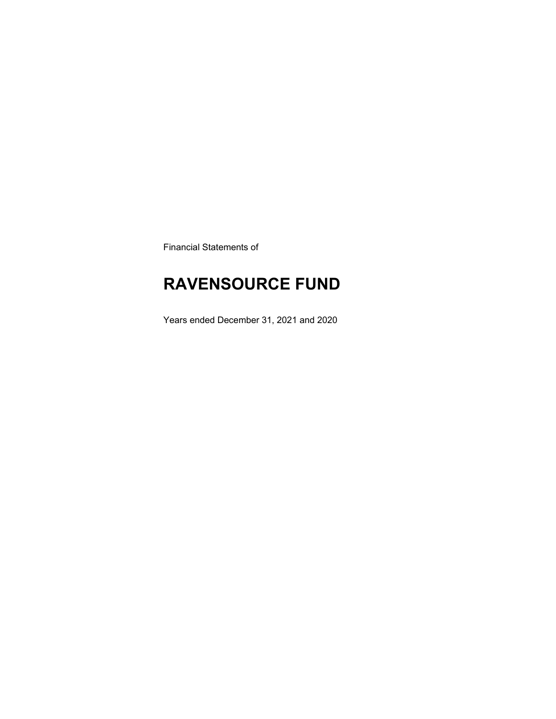Financial Statements of

# **RAVENSOURCE FUND**

Years ended December 31, 2021 and 2020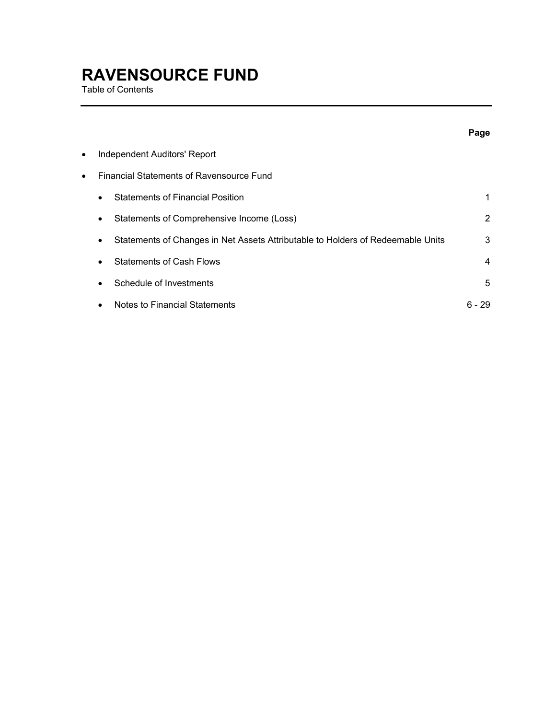Table of Contents

|   |                                                                                              | Page   |
|---|----------------------------------------------------------------------------------------------|--------|
| ٠ | Independent Auditors' Report                                                                 |        |
| ٠ | <b>Financial Statements of Ravensource Fund</b>                                              |        |
|   | <b>Statements of Financial Position</b><br>$\bullet$                                         | 1      |
|   | Statements of Comprehensive Income (Loss)<br>$\bullet$                                       | 2      |
|   | Statements of Changes in Net Assets Attributable to Holders of Redeemable Units<br>$\bullet$ | 3      |
|   | <b>Statements of Cash Flows</b><br>$\bullet$                                                 | 4      |
|   | Schedule of Investments                                                                      | 5      |
|   | Notes to Financial Statements                                                                | ճ - 29 |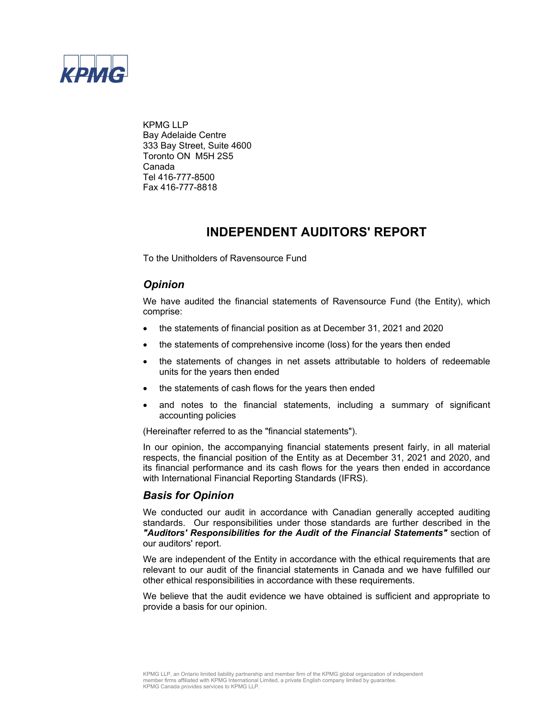

KPMG LLP Bay Adelaide Centre 333 Bay Street, Suite 4600 Toronto ON M5H 2S5 Canada Tel 416-777-8500 Fax 416-777-8818

### **INDEPENDENT AUDITORS' REPORT**

To the Unitholders of Ravensource Fund

### *Opinion*

We have audited the financial statements of Ravensource Fund (the Entity), which comprise:

- the statements of financial position as at December 31, 2021 and 2020
- the statements of comprehensive income (loss) for the years then ended
- the statements of changes in net assets attributable to holders of redeemable units for the years then ended
- the statements of cash flows for the years then ended
- and notes to the financial statements, including a summary of significant accounting policies

(Hereinafter referred to as the "financial statements").

In our opinion, the accompanying financial statements present fairly, in all material respects, the financial position of the Entity as at December 31, 2021 and 2020, and its financial performance and its cash flows for the years then ended in accordance with International Financial Reporting Standards (IFRS).

#### *Basis for Opinion*

We conducted our audit in accordance with Canadian generally accepted auditing standards. Our responsibilities under those standards are further described in the *"Auditors' Responsibilities for the Audit of the Financial Statements"* section of our auditors' report.

We are independent of the Entity in accordance with the ethical requirements that are relevant to our audit of the financial statements in Canada and we have fulfilled our other ethical responsibilities in accordance with these requirements.

We believe that the audit evidence we have obtained is sufficient and appropriate to provide a basis for our opinion.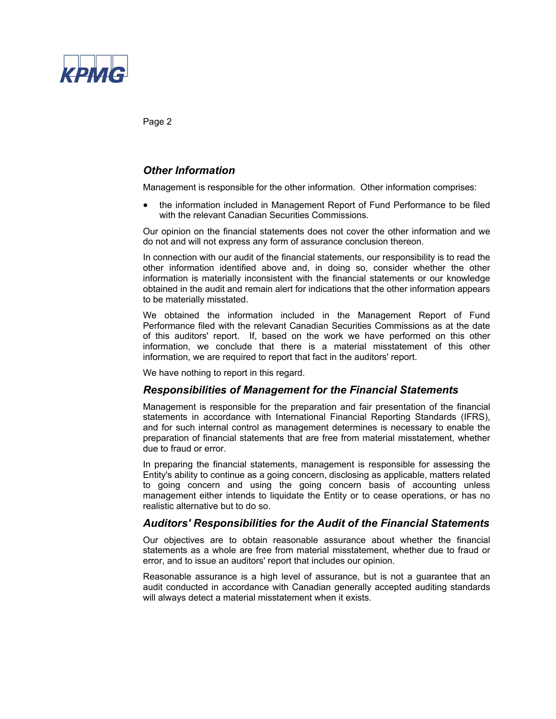

Page 2

### *Other Information*

Management is responsible for the other information. Other information comprises:

 the information included in Management Report of Fund Performance to be filed with the relevant Canadian Securities Commissions.

Our opinion on the financial statements does not cover the other information and we do not and will not express any form of assurance conclusion thereon.

In connection with our audit of the financial statements, our responsibility is to read the other information identified above and, in doing so, consider whether the other information is materially inconsistent with the financial statements or our knowledge obtained in the audit and remain alert for indications that the other information appears to be materially misstated.

We obtained the information included in the Management Report of Fund Performance filed with the relevant Canadian Securities Commissions as at the date of this auditors' report. If, based on the work we have performed on this other information, we conclude that there is a material misstatement of this other information, we are required to report that fact in the auditors' report.

We have nothing to report in this regard.

#### *Responsibilities of Management for the Financial Statements*

Management is responsible for the preparation and fair presentation of the financial statements in accordance with International Financial Reporting Standards (IFRS), and for such internal control as management determines is necessary to enable the preparation of financial statements that are free from material misstatement, whether due to fraud or error.

In preparing the financial statements, management is responsible for assessing the Entity's ability to continue as a going concern, disclosing as applicable, matters related to going concern and using the going concern basis of accounting unless management either intends to liquidate the Entity or to cease operations, or has no realistic alternative but to do so.

#### *Auditors' Responsibilities for the Audit of the Financial Statements*

Our objectives are to obtain reasonable assurance about whether the financial statements as a whole are free from material misstatement, whether due to fraud or error, and to issue an auditors' report that includes our opinion.

Reasonable assurance is a high level of assurance, but is not a guarantee that an audit conducted in accordance with Canadian generally accepted auditing standards will always detect a material misstatement when it exists.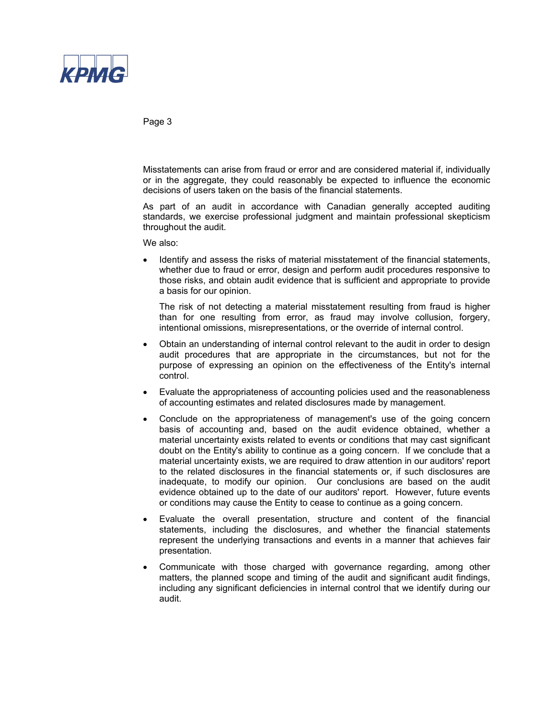

Page 3

Misstatements can arise from fraud or error and are considered material if, individually or in the aggregate, they could reasonably be expected to influence the economic decisions of users taken on the basis of the financial statements.

As part of an audit in accordance with Canadian generally accepted auditing standards, we exercise professional judgment and maintain professional skepticism throughout the audit.

We also:

 Identify and assess the risks of material misstatement of the financial statements, whether due to fraud or error, design and perform audit procedures responsive to those risks, and obtain audit evidence that is sufficient and appropriate to provide a basis for our opinion.

The risk of not detecting a material misstatement resulting from fraud is higher than for one resulting from error, as fraud may involve collusion, forgery, intentional omissions, misrepresentations, or the override of internal control.

- Obtain an understanding of internal control relevant to the audit in order to design audit procedures that are appropriate in the circumstances, but not for the purpose of expressing an opinion on the effectiveness of the Entity's internal control.
- Evaluate the appropriateness of accounting policies used and the reasonableness of accounting estimates and related disclosures made by management.
- Conclude on the appropriateness of management's use of the going concern basis of accounting and, based on the audit evidence obtained, whether a material uncertainty exists related to events or conditions that may cast significant doubt on the Entity's ability to continue as a going concern. If we conclude that a material uncertainty exists, we are required to draw attention in our auditors' report to the related disclosures in the financial statements or, if such disclosures are inadequate, to modify our opinion. Our conclusions are based on the audit evidence obtained up to the date of our auditors' report. However, future events or conditions may cause the Entity to cease to continue as a going concern.
- Evaluate the overall presentation, structure and content of the financial statements, including the disclosures, and whether the financial statements represent the underlying transactions and events in a manner that achieves fair presentation.
- Communicate with those charged with governance regarding, among other matters, the planned scope and timing of the audit and significant audit findings, including any significant deficiencies in internal control that we identify during our audit.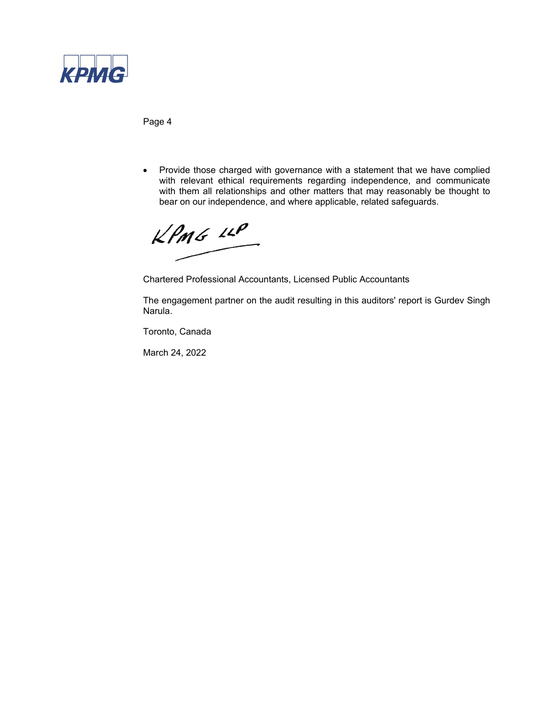

Page 4

• Provide those charged with governance with a statement that we have complied with relevant ethical requirements regarding independence, and communicate with them all relationships and other matters that may reasonably be thought to bear on our independence, and where applicable, related safeguards.

 $KPMG$  14P

Chartered Professional Accountants, Licensed Public Accountants

The engagement partner on the audit resulting in this auditors' report is Gurdev Singh Narula.

Toronto, Canada

March 24, 2022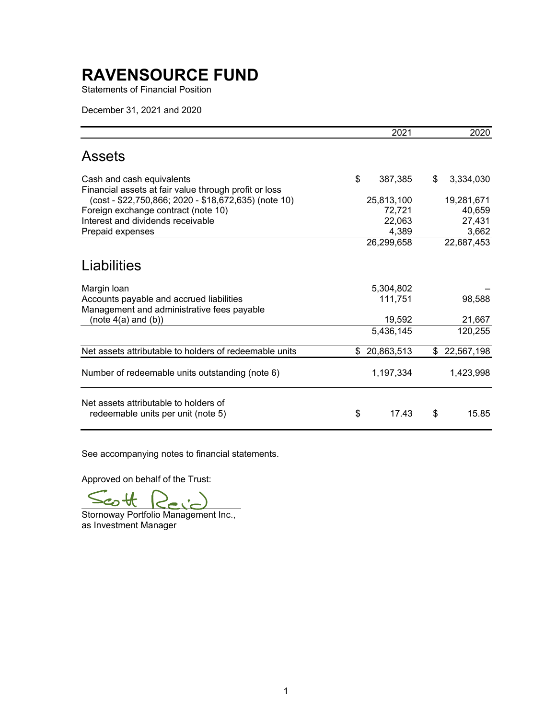Statements of Financial Position

December 31, 2021 and 2020

|                                                                                        | 2021          | 2020             |
|----------------------------------------------------------------------------------------|---------------|------------------|
| Assets                                                                                 |               |                  |
| Cash and cash equivalents<br>Financial assets at fair value through profit or loss     | \$<br>387,385 | \$<br>3,334,030  |
| (cost - \$22,750,866; 2020 - \$18,672,635) (note 10)                                   | 25,813,100    | 19,281,671       |
| Foreign exchange contract (note 10)                                                    | 72,721        | 40,659           |
| Interest and dividends receivable                                                      | 22,063        | 27,431           |
| Prepaid expenses                                                                       | 4,389         | 3,662            |
|                                                                                        | 26,299,658    | 22,687,453       |
| Liabilities                                                                            |               |                  |
| Margin Ioan                                                                            | 5,304,802     |                  |
| Accounts payable and accrued liabilities<br>Management and administrative fees payable | 111,751       | 98,588           |
| (note $4(a)$ and $(b)$ )                                                               | 19,592        | 21,667           |
|                                                                                        | 5,436,145     | 120,255          |
| Net assets attributable to holders of redeemable units                                 | \$20,863,513  | \$<br>22,567,198 |
| Number of redeemable units outstanding (note 6)                                        | 1,197,334     | 1,423,998        |
| Net assets attributable to holders of<br>redeemable units per unit (note 5)            | \$<br>17.43   | \$<br>15.85      |

See accompanying notes to financial statements.

Approved on behalf of the Trust:

Stornoway Portfolio Management Inc., as Investment Manager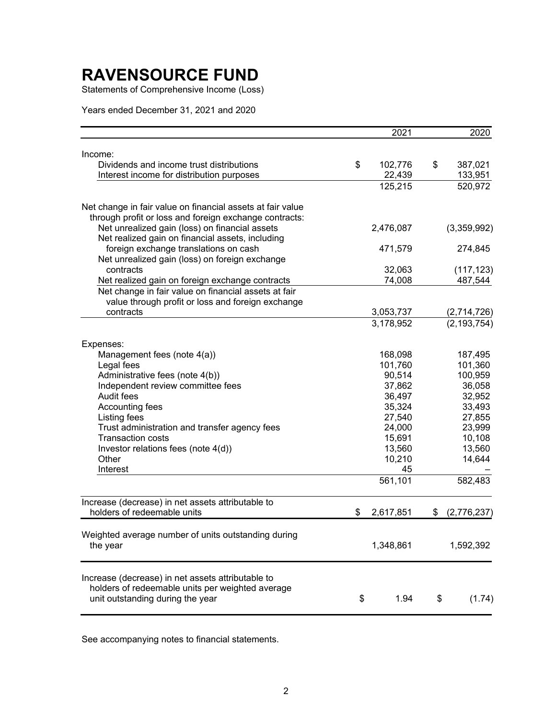Statements of Comprehensive Income (Loss)

Years ended December 31, 2021 and 2020

|                                                            | 2021            | 2020              |
|------------------------------------------------------------|-----------------|-------------------|
| Income:                                                    |                 |                   |
| Dividends and income trust distributions                   | \$<br>102,776   | \$<br>387,021     |
| Interest income for distribution purposes                  | 22,439          | 133,951           |
|                                                            | 125,215         | 520,972           |
| Net change in fair value on financial assets at fair value |                 |                   |
| through profit or loss and foreign exchange contracts:     |                 |                   |
| Net unrealized gain (loss) on financial assets             | 2,476,087       | (3,359,992)       |
| Net realized gain on financial assets, including           |                 |                   |
| foreign exchange translations on cash                      | 471,579         | 274,845           |
| Net unrealized gain (loss) on foreign exchange             |                 |                   |
| contracts                                                  | 32,063          | (117, 123)        |
| Net realized gain on foreign exchange contracts            | 74,008          | 487,544           |
| Net change in fair value on financial assets at fair       |                 |                   |
| value through profit or loss and foreign exchange          |                 |                   |
| contracts                                                  | 3,053,737       | (2,714,726)       |
|                                                            | 3,178,952       | (2, 193, 754)     |
| Expenses:                                                  |                 |                   |
| Management fees (note 4(a))                                | 168,098         | 187,495           |
| Legal fees                                                 | 101,760         | 101,360           |
| Administrative fees (note 4(b))                            | 90,514          | 100,959           |
| Independent review committee fees                          | 37,862          | 36,058            |
| Audit fees                                                 | 36,497          | 32,952            |
| Accounting fees                                            | 35,324          | 33,493            |
| Listing fees                                               | 27,540          | 27,855            |
| Trust administration and transfer agency fees              | 24,000          | 23,999            |
| <b>Transaction costs</b>                                   | 15,691          | 10,108            |
| Investor relations fees (note 4(d))                        | 13,560          | 13,560            |
| Other                                                      | 10,210          | 14,644            |
| Interest                                                   | 45              |                   |
|                                                            | 561,101         | 582,483           |
| Increase (decrease) in net assets attributable to          |                 |                   |
| holders of redeemable units                                | \$<br>2,617,851 | \$<br>(2,776,237) |
| Weighted average number of units outstanding during        |                 |                   |
| the year                                                   | 1,348,861       | 1,592,392         |
| Increase (decrease) in net assets attributable to          |                 |                   |
| holders of redeemable units per weighted average           |                 |                   |
| unit outstanding during the year                           | \$<br>1.94      | \$<br>(1.74)      |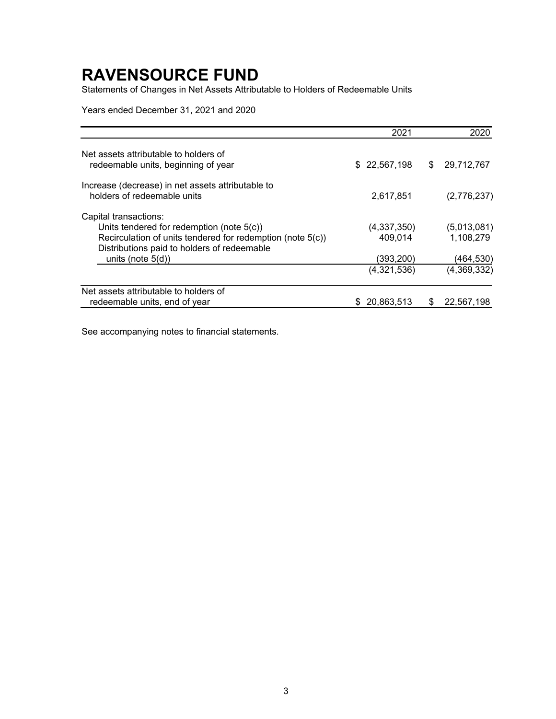Statements of Changes in Net Assets Attributable to Holders of Redeemable Units

Years ended December 31, 2021 and 2020

|                                                                                                           | 2021          |   | 2020        |
|-----------------------------------------------------------------------------------------------------------|---------------|---|-------------|
| Net assets attributable to holders of<br>redeemable units, beginning of year                              | \$ 22,567,198 | S | 29,712,767  |
| Increase (decrease) in net assets attributable to<br>holders of redeemable units                          | 2,617,851     |   | (2,776,237) |
| Capital transactions:                                                                                     |               |   |             |
| Units tendered for redemption (note 5(c))                                                                 | (4,337,350)   |   | (5,013,081) |
| Recirculation of units tendered for redemption (note 5(c))<br>Distributions paid to holders of redeemable | 409,014       |   | 1,108,279   |
| units (note $5(d)$ )                                                                                      | (393,200)     |   | (464,530)   |
|                                                                                                           | (4,321,536)   |   | (4,369,332) |
| Net assets attributable to holders of                                                                     |               |   |             |
| redeemable units, end of year                                                                             | 20,863,513    |   | 22,567,198  |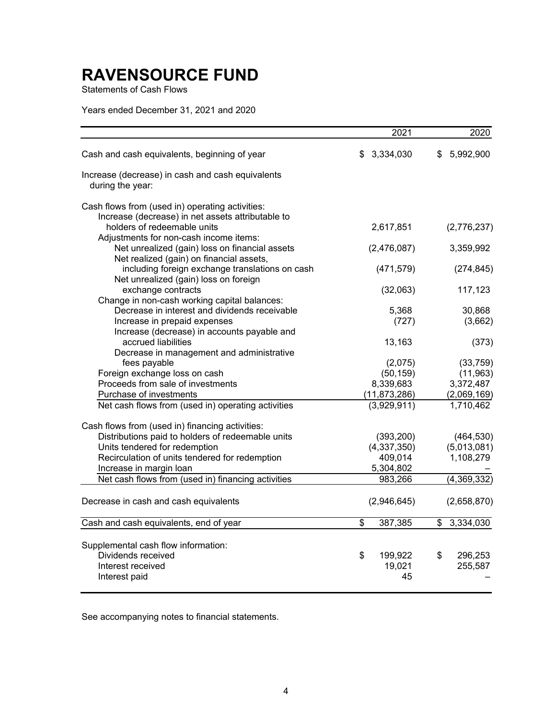Statements of Cash Flows

Years ended December 31, 2021 and 2020

|                                                                                          | 2021            | 2020            |
|------------------------------------------------------------------------------------------|-----------------|-----------------|
| Cash and cash equivalents, beginning of year                                             | \$<br>3,334,030 | 5,992,900<br>S  |
| Increase (decrease) in cash and cash equivalents<br>during the year:                     |                 |                 |
| Cash flows from (used in) operating activities:                                          |                 |                 |
| Increase (decrease) in net assets attributable to                                        |                 |                 |
| holders of redeemable units                                                              | 2,617,851       | (2,776,237)     |
| Adjustments for non-cash income items:                                                   |                 |                 |
| Net unrealized (gain) loss on financial assets                                           | (2,476,087)     | 3,359,992       |
| Net realized (gain) on financial assets,                                                 |                 |                 |
| including foreign exchange translations on cash<br>Net unrealized (gain) loss on foreign | (471, 579)      | (274, 845)      |
| exchange contracts                                                                       | (32,063)        | 117,123         |
| Change in non-cash working capital balances:                                             |                 |                 |
| Decrease in interest and dividends receivable                                            | 5,368           | 30,868          |
| Increase in prepaid expenses                                                             | (727)           | (3,662)         |
| Increase (decrease) in accounts payable and                                              |                 |                 |
| accrued liabilities                                                                      | 13,163          | (373)           |
| Decrease in management and administrative                                                |                 |                 |
| fees payable                                                                             | (2,075)         | (33, 759)       |
| Foreign exchange loss on cash                                                            | (50, 159)       | (11, 963)       |
| Proceeds from sale of investments                                                        | 8,339,683       | 3,372,487       |
| Purchase of investments                                                                  | (11, 873, 286)  | (2,069,169)     |
| Net cash flows from (used in) operating activities                                       | (3,929,911)     | 1,710,462       |
| Cash flows from (used in) financing activities:                                          |                 |                 |
| Distributions paid to holders of redeemable units                                        | (393, 200)      | (464, 530)      |
| Units tendered for redemption                                                            | (4,337,350)     | (5,013,081)     |
| Recirculation of units tendered for redemption                                           | 409,014         | 1,108,279       |
| Increase in margin loan                                                                  | 5,304,802       |                 |
| Net cash flows from (used in) financing activities                                       | 983,266         | (4,369,332)     |
| Decrease in cash and cash equivalents                                                    | (2,946,645)     | (2,658,870)     |
| Cash and cash equivalents, end of year                                                   | \$<br>387,385   | 3,334,030<br>\$ |
|                                                                                          |                 |                 |
| Supplemental cash flow information:                                                      |                 |                 |
| Dividends received                                                                       | \$<br>199,922   | 296,253<br>\$   |
| Interest received                                                                        | 19,021          | 255,587         |
| Interest paid                                                                            | 45              |                 |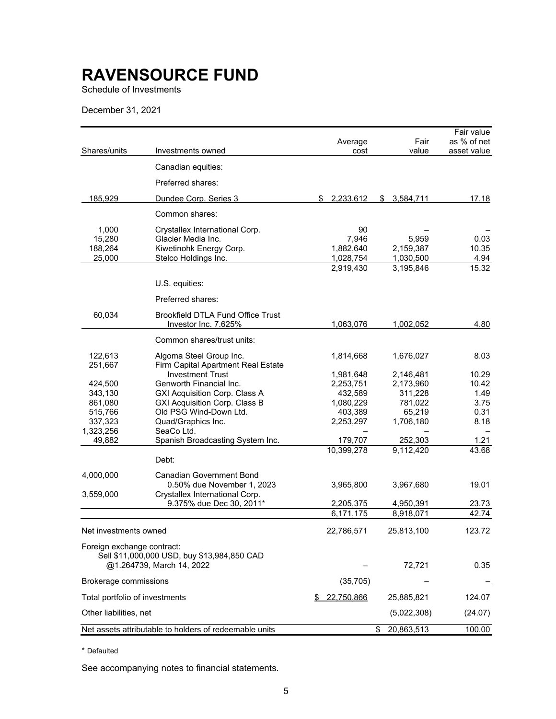Schedule of Investments

December 31, 2021

|                                |                                                        |                  |                  | Fair value  |
|--------------------------------|--------------------------------------------------------|------------------|------------------|-------------|
|                                |                                                        | Average          | Fair             | as % of net |
| Shares/units                   | Investments owned                                      | cost             | value            | asset value |
|                                | Canadian equities:                                     |                  |                  |             |
|                                | Preferred shares:                                      |                  |                  |             |
| 185,929                        | Dundee Corp. Series 3                                  | 2,233,612<br>\$  | \$<br>3,584,711  | 17.18       |
|                                | Common shares:                                         |                  |                  |             |
| 1,000                          | Crystallex International Corp.                         | 90               |                  |             |
| 15,280                         | Glacier Media Inc.                                     | 7,946            | 5,959            | 0.03        |
| 188,264                        | Kiwetinohk Energy Corp.                                | 1,882,640        | 2,159,387        | 10.35       |
| 25.000                         | Stelco Holdings Inc.                                   | 1,028,754        | 1,030,500        | 4.94        |
|                                |                                                        | 2,919,430        | 3,195,846        | 15.32       |
|                                | U.S. equities:                                         |                  |                  |             |
|                                | Preferred shares:                                      |                  |                  |             |
| 60,034                         | <b>Brookfield DTLA Fund Office Trust</b>               |                  |                  |             |
|                                | Investor Inc. 7.625%                                   | 1,063,076        | 1,002,052        | 4.80        |
|                                | Common shares/trust units:                             |                  |                  |             |
| 122,613                        | Algoma Steel Group Inc.                                | 1,814,668        | 1,676,027        | 8.03        |
| 251,667                        | Firm Capital Apartment Real Estate                     |                  |                  |             |
|                                | <b>Investment Trust</b>                                | 1,981,648        | 2,146,481        | 10.29       |
| 424,500                        | Genworth Financial Inc.                                | 2,253,751        | 2,173,960        | 10.42       |
| 343,130                        | GXI Acquisition Corp. Class A                          | 432,589          | 311,228          | 1.49        |
| 861,080                        | <b>GXI Acquisition Corp. Class B</b>                   | 1,080,229        | 781,022          | 3.75        |
| 515,766                        | Old PSG Wind-Down Ltd.                                 | 403,389          | 65,219           | 0.31        |
| 337,323                        | Quad/Graphics Inc.<br>SeaCo Ltd.                       | 2,253,297        | 1,706,180        | 8.18        |
| 1,323,256<br>49,882            | Spanish Broadcasting System Inc.                       | 179,707          | 252,303          | 1.21        |
|                                |                                                        | 10,399,278       | 9,112,420        | 43.68       |
|                                | Debt:                                                  |                  |                  |             |
| 4,000,000                      | <b>Canadian Government Bond</b>                        |                  |                  |             |
|                                | 0.50% due November 1, 2023                             | 3,965,800        | 3,967,680        | 19.01       |
| 3,559,000                      | Crystallex International Corp.                         |                  |                  |             |
|                                | 9.375% due Dec 30, 2011*                               | 2,205,375        | 4,950,391        | 23.73       |
|                                |                                                        | 6,171,175        | 8,918,071        | 42.74       |
| Net investments owned          |                                                        | 22,786,571       | 25,813,100       | 123.72      |
| Foreign exchange contract:     |                                                        |                  |                  |             |
|                                | Sell \$11,000,000 USD, buy \$13,984,850 CAD            |                  |                  |             |
|                                | @1.264739, March 14, 2022                              |                  | 72,721           | 0.35        |
| Brokerage commissions          |                                                        | (35, 705)        |                  |             |
| Total portfolio of investments |                                                        | 22,750,866<br>\$ | 25,885,821       | 124.07      |
| Other liabilities, net         |                                                        |                  | (5,022,308)      | (24.07)     |
|                                | Net assets attributable to holders of redeemable units |                  | 20,863,513<br>\$ | 100.00      |

\* Defaulted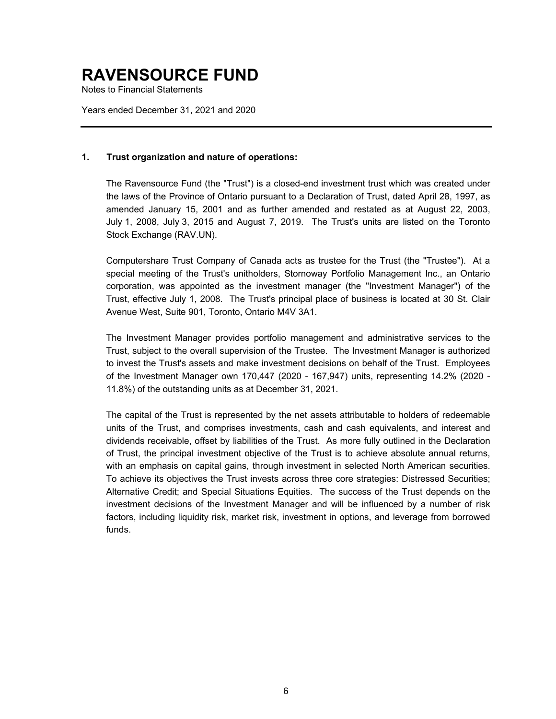Notes to Financial Statements

Years ended December 31, 2021 and 2020

#### **1. Trust organization and nature of operations:**

The Ravensource Fund (the "Trust") is a closed-end investment trust which was created under the laws of the Province of Ontario pursuant to a Declaration of Trust, dated April 28, 1997, as amended January 15, 2001 and as further amended and restated as at August 22, 2003, July 1, 2008, July 3, 2015 and August 7, 2019. The Trust's units are listed on the Toronto Stock Exchange (RAV.UN).

Computershare Trust Company of Canada acts as trustee for the Trust (the "Trustee"). At a special meeting of the Trust's unitholders, Stornoway Portfolio Management Inc., an Ontario corporation, was appointed as the investment manager (the "Investment Manager") of the Trust, effective July 1, 2008. The Trust's principal place of business is located at 30 St. Clair Avenue West, Suite 901, Toronto, Ontario M4V 3A1.

The Investment Manager provides portfolio management and administrative services to the Trust, subject to the overall supervision of the Trustee. The Investment Manager is authorized to invest the Trust's assets and make investment decisions on behalf of the Trust. Employees of the Investment Manager own 170,447 (2020 - 167,947) units, representing 14.2% (2020 - 11.8%) of the outstanding units as at December 31, 2021.

The capital of the Trust is represented by the net assets attributable to holders of redeemable units of the Trust, and comprises investments, cash and cash equivalents, and interest and dividends receivable, offset by liabilities of the Trust. As more fully outlined in the Declaration of Trust, the principal investment objective of the Trust is to achieve absolute annual returns, with an emphasis on capital gains, through investment in selected North American securities. To achieve its objectives the Trust invests across three core strategies: Distressed Securities; Alternative Credit; and Special Situations Equities. The success of the Trust depends on the investment decisions of the Investment Manager and will be influenced by a number of risk factors, including liquidity risk, market risk, investment in options, and leverage from borrowed funds.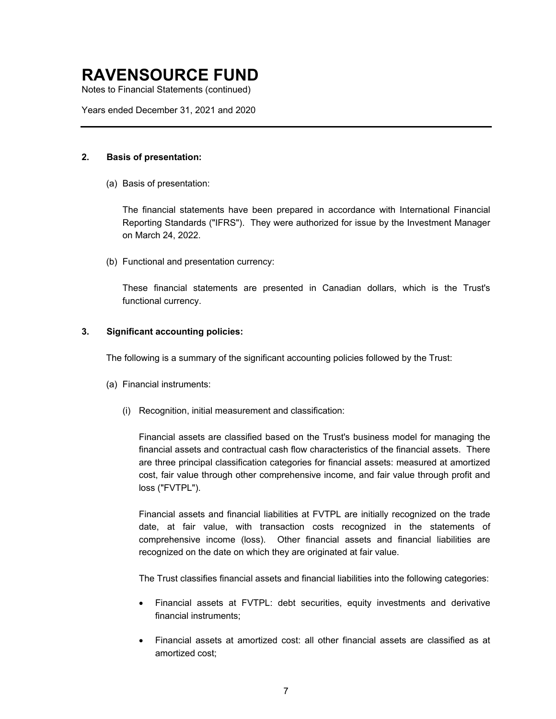Notes to Financial Statements (continued)

Years ended December 31, 2021 and 2020

#### **2. Basis of presentation:**

(a) Basis of presentation:

The financial statements have been prepared in accordance with International Financial Reporting Standards ("IFRS"). They were authorized for issue by the Investment Manager on March 24, 2022.

(b) Functional and presentation currency:

These financial statements are presented in Canadian dollars, which is the Trust's functional currency.

#### **3. Significant accounting policies:**

The following is a summary of the significant accounting policies followed by the Trust:

- (a) Financial instruments:
	- (i) Recognition, initial measurement and classification:

Financial assets are classified based on the Trust's business model for managing the financial assets and contractual cash flow characteristics of the financial assets. There are three principal classification categories for financial assets: measured at amortized cost, fair value through other comprehensive income, and fair value through profit and loss ("FVTPL").

Financial assets and financial liabilities at FVTPL are initially recognized on the trade date, at fair value, with transaction costs recognized in the statements of comprehensive income (loss). Other financial assets and financial liabilities are recognized on the date on which they are originated at fair value.

The Trust classifies financial assets and financial liabilities into the following categories:

- Financial assets at FVTPL: debt securities, equity investments and derivative financial instruments;
- Financial assets at amortized cost: all other financial assets are classified as at amortized cost;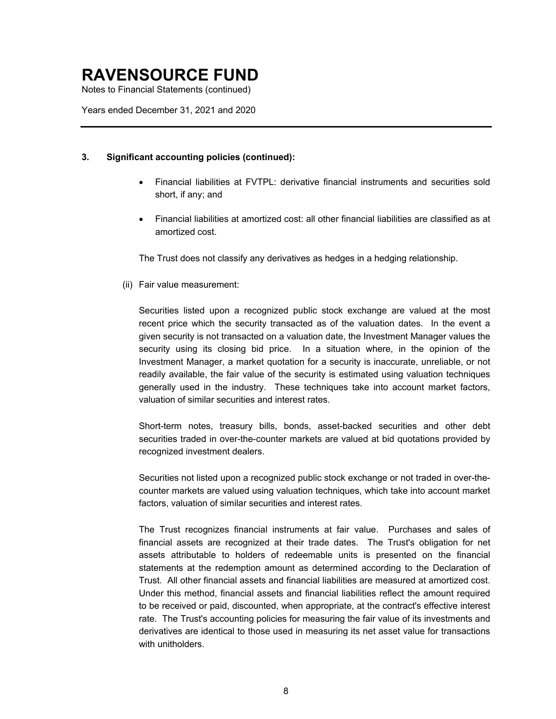Notes to Financial Statements (continued)

Years ended December 31, 2021 and 2020

#### **3. Significant accounting policies (continued):**

- Financial liabilities at FVTPL: derivative financial instruments and securities sold short, if any; and
- Financial liabilities at amortized cost: all other financial liabilities are classified as at amortized cost.

The Trust does not classify any derivatives as hedges in a hedging relationship.

(ii) Fair value measurement:

Securities listed upon a recognized public stock exchange are valued at the most recent price which the security transacted as of the valuation dates. In the event a given security is not transacted on a valuation date, the Investment Manager values the security using its closing bid price. In a situation where, in the opinion of the Investment Manager, a market quotation for a security is inaccurate, unreliable, or not readily available, the fair value of the security is estimated using valuation techniques generally used in the industry. These techniques take into account market factors, valuation of similar securities and interest rates.

Short-term notes, treasury bills, bonds, asset-backed securities and other debt securities traded in over-the-counter markets are valued at bid quotations provided by recognized investment dealers.

Securities not listed upon a recognized public stock exchange or not traded in over-thecounter markets are valued using valuation techniques, which take into account market factors, valuation of similar securities and interest rates.

The Trust recognizes financial instruments at fair value. Purchases and sales of financial assets are recognized at their trade dates. The Trust's obligation for net assets attributable to holders of redeemable units is presented on the financial statements at the redemption amount as determined according to the Declaration of Trust. All other financial assets and financial liabilities are measured at amortized cost. Under this method, financial assets and financial liabilities reflect the amount required to be received or paid, discounted, when appropriate, at the contract's effective interest rate. The Trust's accounting policies for measuring the fair value of its investments and derivatives are identical to those used in measuring its net asset value for transactions with unitholders.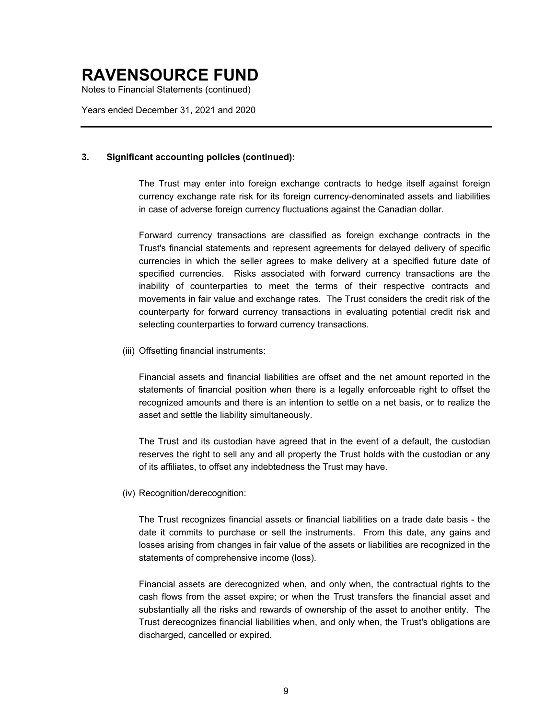Notes to Financial Statements (continued)

Years ended December 31, 2021 and 2020

#### **3. Significant accounting policies (continued):**

The Trust may enter into foreign exchange contracts to hedge itself against foreign currency exchange rate risk for its foreign currency-denominated assets and liabilities in case of adverse foreign currency fluctuations against the Canadian dollar.

Forward currency transactions are classified as foreign exchange contracts in the Trust's financial statements and represent agreements for delayed delivery of specific currencies in which the seller agrees to make delivery at a specified future date of specified currencies. Risks associated with forward currency transactions are the inability of counterparties to meet the terms of their respective contracts and movements in fair value and exchange rates. The Trust considers the credit risk of the counterparty for forward currency transactions in evaluating potential credit risk and selecting counterparties to forward currency transactions.

(iii) Offsetting financial instruments:

Financial assets and financial liabilities are offset and the net amount reported in the statements of financial position when there is a legally enforceable right to offset the recognized amounts and there is an intention to settle on a net basis, or to realize the asset and settle the liability simultaneously.

The Trust and its custodian have agreed that in the event of a default, the custodian reserves the right to sell any and all property the Trust holds with the custodian or any of its affiliates, to offset any indebtedness the Trust may have.

(iv) Recognition/derecognition:

The Trust recognizes financial assets or financial liabilities on a trade date basis - the date it commits to purchase or sell the instruments. From this date, any gains and losses arising from changes in fair value of the assets or liabilities are recognized in the statements of comprehensive income (loss).

Financial assets are derecognized when, and only when, the contractual rights to the cash flows from the asset expire; or when the Trust transfers the financial asset and substantially all the risks and rewards of ownership of the asset to another entity. The Trust derecognizes financial liabilities when, and only when, the Trust's obligations are discharged, cancelled or expired.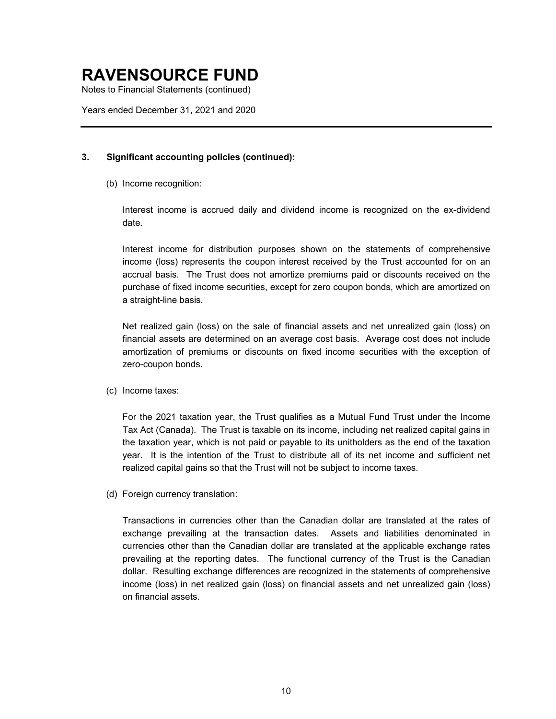Notes to Financial Statements (continued)

Years ended December 31, 2021 and 2020

#### **3. Significant accounting policies (continued):**

(b) Income recognition:

Interest income is accrued daily and dividend income is recognized on the ex-dividend date.

Interest income for distribution purposes shown on the statements of comprehensive income (loss) represents the coupon interest received by the Trust accounted for on an accrual basis. The Trust does not amortize premiums paid or discounts received on the purchase of fixed income securities, except for zero coupon bonds, which are amortized on a straight-line basis.

Net realized gain (loss) on the sale of financial assets and net unrealized gain (loss) on financial assets are determined on an average cost basis. Average cost does not include amortization of premiums or discounts on fixed income securities with the exception of zero-coupon bonds.

(c) Income taxes:

For the 2021 taxation year, the Trust qualifies as a Mutual Fund Trust under the Income Tax Act (Canada). The Trust is taxable on its income, including net realized capital gains in the taxation year, which is not paid or payable to its unitholders as the end of the taxation year. It is the intention of the Trust to distribute all of its net income and sufficient net realized capital gains so that the Trust will not be subject to income taxes.

(d) Foreign currency translation:

Transactions in currencies other than the Canadian dollar are translated at the rates of exchange prevailing at the transaction dates. Assets and liabilities denominated in currencies other than the Canadian dollar are translated at the applicable exchange rates prevailing at the reporting dates. The functional currency of the Trust is the Canadian dollar. Resulting exchange differences are recognized in the statements of comprehensive income (loss) in net realized gain (loss) on financial assets and net unrealized gain (loss) on financial assets.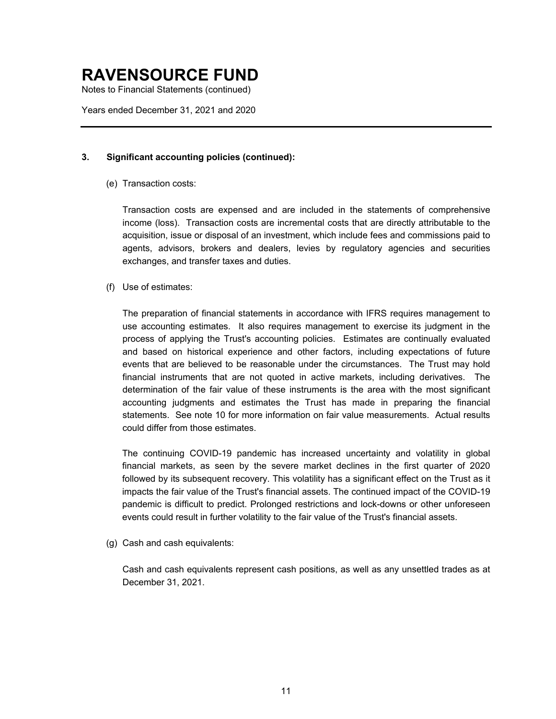Notes to Financial Statements (continued)

Years ended December 31, 2021 and 2020

#### **3. Significant accounting policies (continued):**

(e) Transaction costs:

Transaction costs are expensed and are included in the statements of comprehensive income (loss). Transaction costs are incremental costs that are directly attributable to the acquisition, issue or disposal of an investment, which include fees and commissions paid to agents, advisors, brokers and dealers, levies by regulatory agencies and securities exchanges, and transfer taxes and duties.

(f) Use of estimates:

The preparation of financial statements in accordance with IFRS requires management to use accounting estimates. It also requires management to exercise its judgment in the process of applying the Trust's accounting policies. Estimates are continually evaluated and based on historical experience and other factors, including expectations of future events that are believed to be reasonable under the circumstances. The Trust may hold financial instruments that are not quoted in active markets, including derivatives. The determination of the fair value of these instruments is the area with the most significant accounting judgments and estimates the Trust has made in preparing the financial statements. See note 10 for more information on fair value measurements. Actual results could differ from those estimates.

The continuing COVID-19 pandemic has increased uncertainty and volatility in global financial markets, as seen by the severe market declines in the first quarter of 2020 followed by its subsequent recovery. This volatility has a significant effect on the Trust as it impacts the fair value of the Trust's financial assets. The continued impact of the COVID-19 pandemic is difficult to predict. Prolonged restrictions and lock-downs or other unforeseen events could result in further volatility to the fair value of the Trust's financial assets.

(g) Cash and cash equivalents:

Cash and cash equivalents represent cash positions, as well as any unsettled trades as at December 31, 2021.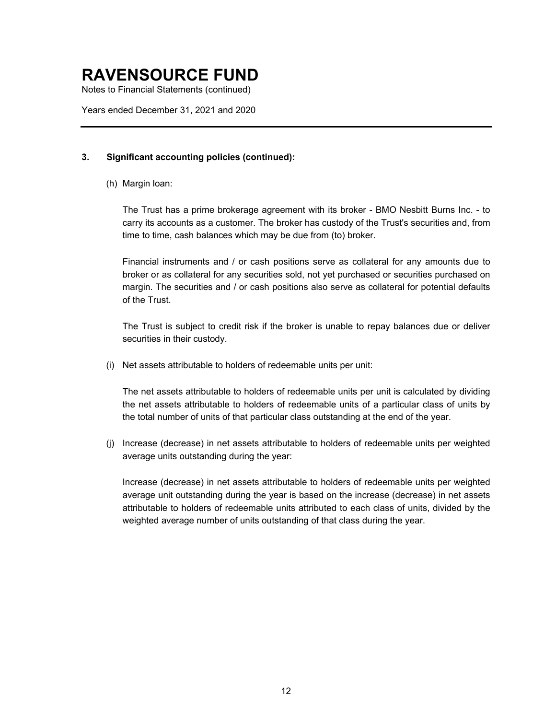Notes to Financial Statements (continued)

Years ended December 31, 2021 and 2020

#### **3. Significant accounting policies (continued):**

(h) Margin loan:

The Trust has a prime brokerage agreement with its broker - BMO Nesbitt Burns Inc. - to carry its accounts as a customer. The broker has custody of the Trust's securities and, from time to time, cash balances which may be due from (to) broker.

Financial instruments and / or cash positions serve as collateral for any amounts due to broker or as collateral for any securities sold, not yet purchased or securities purchased on margin. The securities and / or cash positions also serve as collateral for potential defaults of the Trust.

The Trust is subject to credit risk if the broker is unable to repay balances due or deliver securities in their custody.

(i) Net assets attributable to holders of redeemable units per unit:

The net assets attributable to holders of redeemable units per unit is calculated by dividing the net assets attributable to holders of redeemable units of a particular class of units by the total number of units of that particular class outstanding at the end of the year.

(j) Increase (decrease) in net assets attributable to holders of redeemable units per weighted average units outstanding during the year:

Increase (decrease) in net assets attributable to holders of redeemable units per weighted average unit outstanding during the year is based on the increase (decrease) in net assets attributable to holders of redeemable units attributed to each class of units, divided by the weighted average number of units outstanding of that class during the year.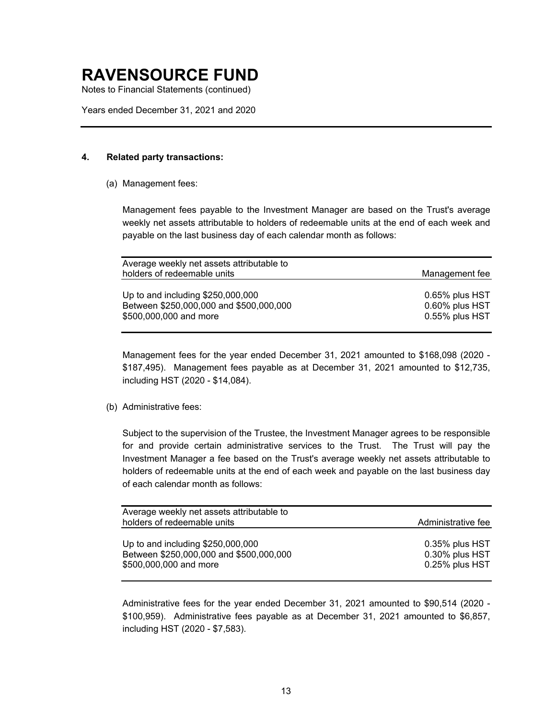Notes to Financial Statements (continued)

Years ended December 31, 2021 and 2020

#### **4. Related party transactions:**

(a) Management fees:

Management fees payable to the Investment Manager are based on the Trust's average weekly net assets attributable to holders of redeemable units at the end of each week and payable on the last business day of each calendar month as follows:

| Average weekly net assets attributable to                                                              |                                                    |
|--------------------------------------------------------------------------------------------------------|----------------------------------------------------|
| holders of redeemable units                                                                            | Management fee                                     |
| Up to and including \$250,000,000<br>Between \$250,000,000 and \$500,000,000<br>\$500,000,000 and more | 0.65% plus HST<br>0.60% plus HST<br>0.55% plus HST |
|                                                                                                        |                                                    |

Management fees for the year ended December 31, 2021 amounted to \$168,098 (2020 - \$187,495). Management fees payable as at December 31, 2021 amounted to \$12,735, including HST (2020 - \$14,084).

(b) Administrative fees:

Subject to the supervision of the Trustee, the Investment Manager agrees to be responsible for and provide certain administrative services to the Trust. The Trust will pay the Investment Manager a fee based on the Trust's average weekly net assets attributable to holders of redeemable units at the end of each week and payable on the last business day of each calendar month as follows:

| Average weekly net assets attributable to                                                               |                                                    |
|---------------------------------------------------------------------------------------------------------|----------------------------------------------------|
| holders of redeemable units                                                                             | Administrative fee                                 |
| Up to and including $$250,000,000$<br>Between \$250,000,000 and \$500,000,000<br>\$500,000,000 and more | 0.35% plus HST<br>0.30% plus HST<br>0.25% plus HST |

Administrative fees for the year ended December 31, 2021 amounted to \$90,514 (2020 - \$100,959). Administrative fees payable as at December 31, 2021 amounted to \$6,857, including HST (2020 - \$7,583).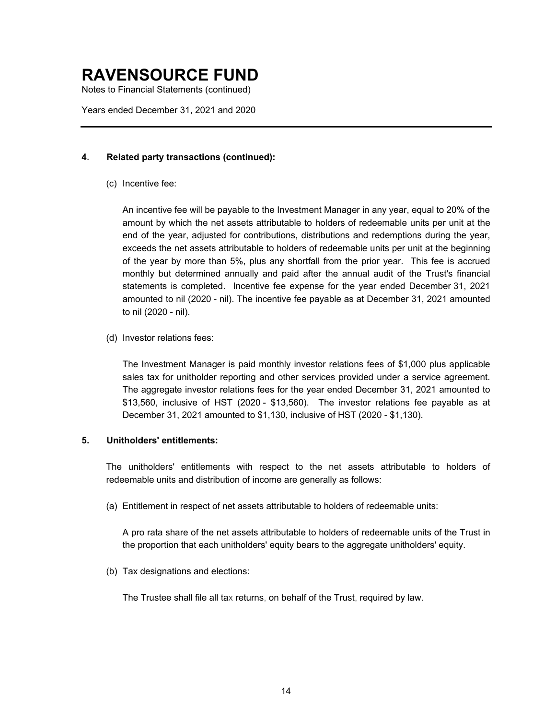Notes to Financial Statements (continued)

Years ended December 31, 2021 and 2020

#### **4. Related party transactions (continued):**

(c) Incentive fee:

An incentive fee will be payable to the Investment Manager in any year, equal to 20% of the amount by which the net assets attributable to holders of redeemable units per unit at the end of the year, adjusted for contributions, distributions and redemptions during the year, exceeds the net assets attributable to holders of redeemable units per unit at the beginning of the year by more than 5%, plus any shortfall from the prior year. This fee is accrued monthly but determined annually and paid after the annual audit of the Trust's financial statements is completed. Incentive fee expense for the year ended December 31, 2021 amounted to nil (2020 - nil). The incentive fee payable as at December 31, 2021 amounted to nil (2020 - nil).

(d) Investor relations fees:

The Investment Manager is paid monthly investor relations fees of \$1,000 plus applicable sales tax for unitholder reporting and other services provided under a service agreement. The aggregate investor relations fees for the year ended December 31, 2021 amounted to \$13,560, inclusive of HST (2020 - \$13,560). The investor relations fee payable as at December 31, 2021 amounted to \$1,130, inclusive of HST (2020 - \$1,130).

#### **5. Unitholders' entitlements:**

The unitholders' entitlements with respect to the net assets attributable to holders of redeemable units and distribution of income are generally as follows:

(a) Entitlement in respect of net assets attributable to holders of redeemable units:

A pro rata share of the net assets attributable to holders of redeemable units of the Trust in the proportion that each unitholders' equity bears to the aggregate unitholders' equity.

(b) Tax designations and elections:

The Trustee shall file all tax returns, on behalf of the Trust, required by law.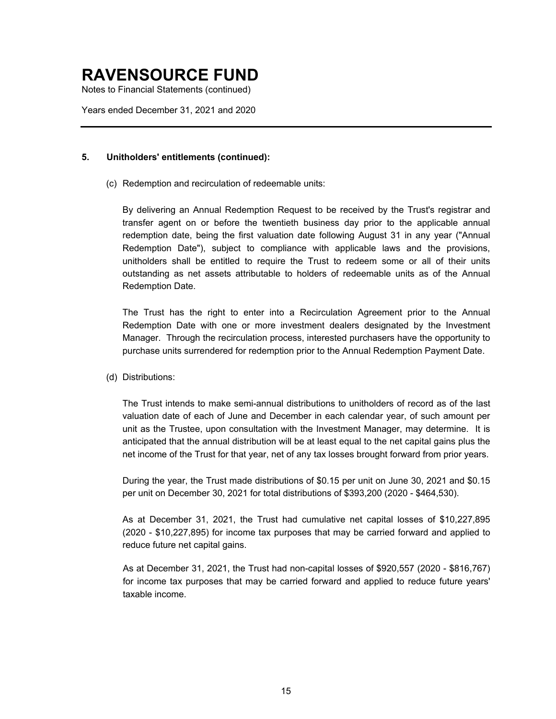Notes to Financial Statements (continued)

Years ended December 31, 2021 and 2020

#### **5. Unitholders' entitlements (continued):**

(c) Redemption and recirculation of redeemable units:

By delivering an Annual Redemption Request to be received by the Trust's registrar and transfer agent on or before the twentieth business day prior to the applicable annual redemption date, being the first valuation date following August 31 in any year ("Annual Redemption Date"), subject to compliance with applicable laws and the provisions, unitholders shall be entitled to require the Trust to redeem some or all of their units outstanding as net assets attributable to holders of redeemable units as of the Annual Redemption Date.

The Trust has the right to enter into a Recirculation Agreement prior to the Annual Redemption Date with one or more investment dealers designated by the Investment Manager. Through the recirculation process, interested purchasers have the opportunity to purchase units surrendered for redemption prior to the Annual Redemption Payment Date.

(d) Distributions:

The Trust intends to make semi-annual distributions to unitholders of record as of the last valuation date of each of June and December in each calendar year, of such amount per unit as the Trustee, upon consultation with the Investment Manager, may determine. It is anticipated that the annual distribution will be at least equal to the net capital gains plus the net income of the Trust for that year, net of any tax losses brought forward from prior years.

During the year, the Trust made distributions of \$0.15 per unit on June 30, 2021 and \$0.15 per unit on December 30, 2021 for total distributions of \$393,200 (2020 - \$464,530).

As at December 31, 2021, the Trust had cumulative net capital losses of \$10,227,895 (2020 - \$10,227,895) for income tax purposes that may be carried forward and applied to reduce future net capital gains.

As at December 31, 2021, the Trust had non-capital losses of \$920,557 (2020 - \$816,767) for income tax purposes that may be carried forward and applied to reduce future years' taxable income.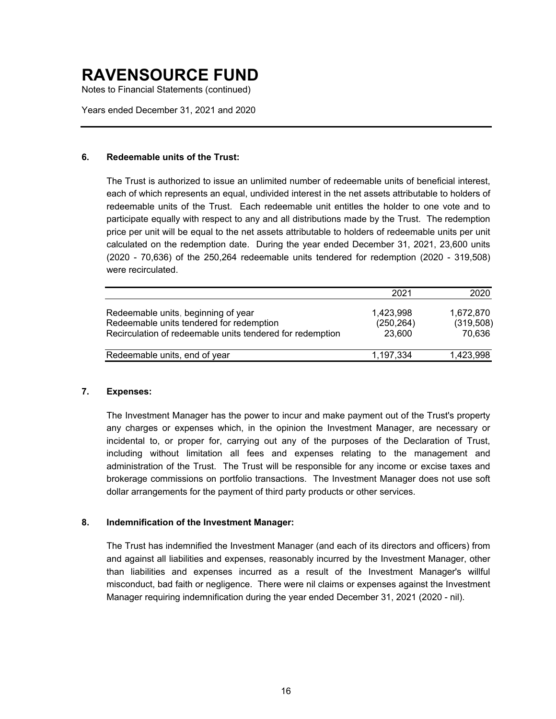Notes to Financial Statements (continued)

Years ended December 31, 2021 and 2020

#### **6. Redeemable units of the Trust:**

The Trust is authorized to issue an unlimited number of redeemable units of beneficial interest, each of which represents an equal, undivided interest in the net assets attributable to holders of redeemable units of the Trust. Each redeemable unit entitles the holder to one vote and to participate equally with respect to any and all distributions made by the Trust. The redemption price per unit will be equal to the net assets attributable to holders of redeemable units per unit calculated on the redemption date. During the year ended December 31, 2021, 23,600 units (2020 - 70,636) of the 250,264 redeemable units tendered for redemption (2020 - 319,508) were recirculated.

|                                                                                                                                              | 2021                              | 2020                             |
|----------------------------------------------------------------------------------------------------------------------------------------------|-----------------------------------|----------------------------------|
| Redeemable units, beginning of year<br>Redeemable units tendered for redemption<br>Recirculation of redeemable units tendered for redemption | 1,423,998<br>(250, 264)<br>23,600 | 1,672,870<br>(319,508)<br>70,636 |
| Redeemable units, end of year                                                                                                                | 1,197,334                         | 1,423,998                        |

#### **7. Expenses:**

The Investment Manager has the power to incur and make payment out of the Trust's property any charges or expenses which, in the opinion the Investment Manager, are necessary or incidental to, or proper for, carrying out any of the purposes of the Declaration of Trust, including without limitation all fees and expenses relating to the management and administration of the Trust. The Trust will be responsible for any income or excise taxes and brokerage commissions on portfolio transactions. The Investment Manager does not use soft dollar arrangements for the payment of third party products or other services.

#### **8. Indemnification of the Investment Manager:**

The Trust has indemnified the Investment Manager (and each of its directors and officers) from and against all liabilities and expenses, reasonably incurred by the Investment Manager, other than liabilities and expenses incurred as a result of the Investment Manager's willful misconduct, bad faith or negligence. There were nil claims or expenses against the Investment Manager requiring indemnification during the year ended December 31, 2021 (2020 - nil).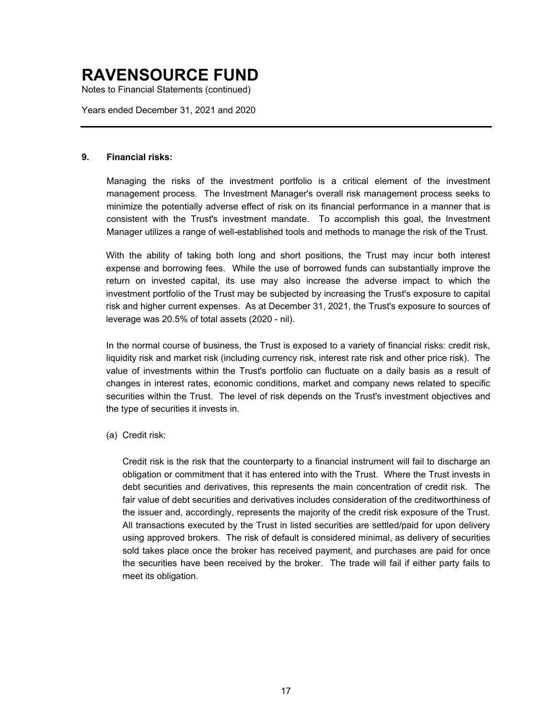Notes to Financial Statements (continued)

Years ended December 31, 2021 and 2020

#### **9. Financial risks:**

Managing the risks of the investment portfolio is a critical element of the investment management process. The Investment Manager's overall risk management process seeks to minimize the potentially adverse effect of risk on its financial performance in a manner that is consistent with the Trust's investment mandate. To accomplish this goal, the Investment Manager utilizes a range of well-established tools and methods to manage the risk of the Trust.

With the ability of taking both long and short positions, the Trust may incur both interest expense and borrowing fees. While the use of borrowed funds can substantially improve the return on invested capital, its use may also increase the adverse impact to which the investment portfolio of the Trust may be subjected by increasing the Trust's exposure to capital risk and higher current expenses. As at December 31, 2021, the Trust's exposure to sources of leverage was 20.5% of total assets (2020 - nil).

In the normal course of business, the Trust is exposed to a variety of financial risks: credit risk, liquidity risk and market risk (including currency risk, interest rate risk and other price risk). The value of investments within the Trust's portfolio can fluctuate on a daily basis as a result of changes in interest rates, economic conditions, market and company news related to specific securities within the Trust. The level of risk depends on the Trust's investment objectives and the type of securities it invests in.

(a) Credit risk:

Credit risk is the risk that the counterparty to a financial instrument will fail to discharge an obligation or commitment that it has entered into with the Trust. Where the Trust invests in debt securities and derivatives, this represents the main concentration of credit risk. The fair value of debt securities and derivatives includes consideration of the creditworthiness of the issuer and, accordingly, represents the majority of the credit risk exposure of the Trust. All transactions executed by the Trust in listed securities are settled/paid for upon delivery using approved brokers. The risk of default is considered minimal, as delivery of securities sold takes place once the broker has received payment, and purchases are paid for once the securities have been received by the broker. The trade will fail if either party fails to meet its obligation.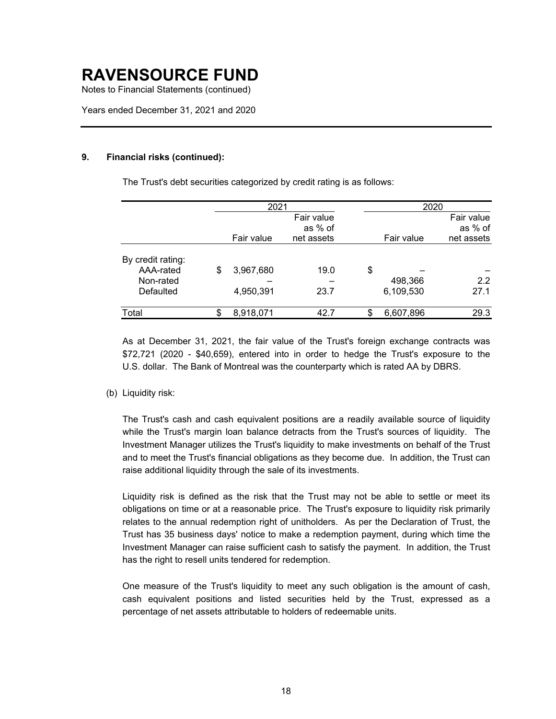Notes to Financial Statements (continued)

Years ended December 31, 2021 and 2020

#### **9. Financial risks (continued):**

The Trust's debt securities categorized by credit rating is as follows:

|                   |     | 2021       |            |    | 2020       |            |
|-------------------|-----|------------|------------|----|------------|------------|
|                   |     |            | Fair value |    |            | Fair value |
|                   |     |            | as % of    |    |            | as % of    |
|                   |     | Fair value | net assets |    | Fair value | net assets |
| By credit rating: |     |            |            |    |            |            |
| AAA-rated         | \$  | 3,967,680  | 19.0       | \$ |            |            |
| Non-rated         |     |            |            |    | 498,366    | 2.2        |
| Defaulted         |     | 4,950,391  | 23.7       |    | 6,109,530  | 27.1       |
| Total             | \$. | 8,918,071  | 42.7       | \$ | 6,607,896  | 29.3       |

As at December 31, 2021, the fair value of the Trust's foreign exchange contracts was \$72,721 (2020 - \$40,659), entered into in order to hedge the Trust's exposure to the U.S. dollar. The Bank of Montreal was the counterparty which is rated AA by DBRS.

(b) Liquidity risk:

The Trust's cash and cash equivalent positions are a readily available source of liquidity while the Trust's margin loan balance detracts from the Trust's sources of liquidity. The Investment Manager utilizes the Trust's liquidity to make investments on behalf of the Trust and to meet the Trust's financial obligations as they become due. In addition, the Trust can raise additional liquidity through the sale of its investments.

Liquidity risk is defined as the risk that the Trust may not be able to settle or meet its obligations on time or at a reasonable price. The Trust's exposure to liquidity risk primarily relates to the annual redemption right of unitholders. As per the Declaration of Trust, the Trust has 35 business days' notice to make a redemption payment, during which time the Investment Manager can raise sufficient cash to satisfy the payment. In addition, the Trust has the right to resell units tendered for redemption.

One measure of the Trust's liquidity to meet any such obligation is the amount of cash, cash equivalent positions and listed securities held by the Trust, expressed as a percentage of net assets attributable to holders of redeemable units.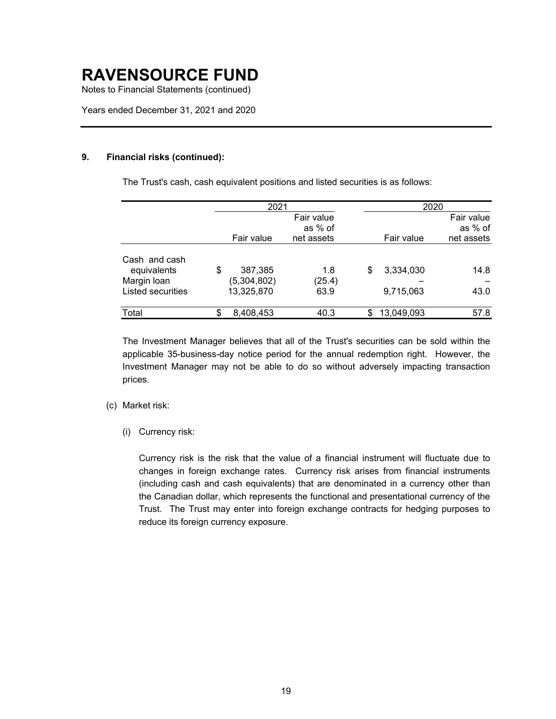Notes to Financial Statements (continued)

Years ended December 31, 2021 and 2020

#### **9. Financial risks (continued):**

The Trust's cash, cash equivalent positions and listed securities is as follows:

|                                  |    | 2021                      |                |    |            | 2020       |
|----------------------------------|----|---------------------------|----------------|----|------------|------------|
|                                  |    |                           | Fair value     |    |            | Fair value |
|                                  |    |                           | as % of        |    |            | as % of    |
|                                  |    | Fair value                | net assets     |    | Fair value | net assets |
| Cash and cash<br>equivalents     | \$ | 387,385                   | 1.8            | S  | 3,334,030  | 14.8       |
| Margin Ioan<br>Listed securities |    | (5,304,802)<br>13,325,870 | (25.4)<br>63.9 |    | 9,715,063  | 43.0       |
| Total                            | S. | 8,408,453                 | 40.3           | \$ | 13,049,093 | 57.8       |

The Investment Manager believes that all of the Trust's securities can be sold within the applicable 35-business-day notice period for the annual redemption right. However, the Investment Manager may not be able to do so without adversely impacting transaction prices.

#### (c) Market risk:

(i) Currency risk:

Currency risk is the risk that the value of a financial instrument will fluctuate due to changes in foreign exchange rates. Currency risk arises from financial instruments (including cash and cash equivalents) that are denominated in a currency other than the Canadian dollar, which represents the functional and presentational currency of the Trust. The Trust may enter into foreign exchange contracts for hedging purposes to reduce its foreign currency exposure.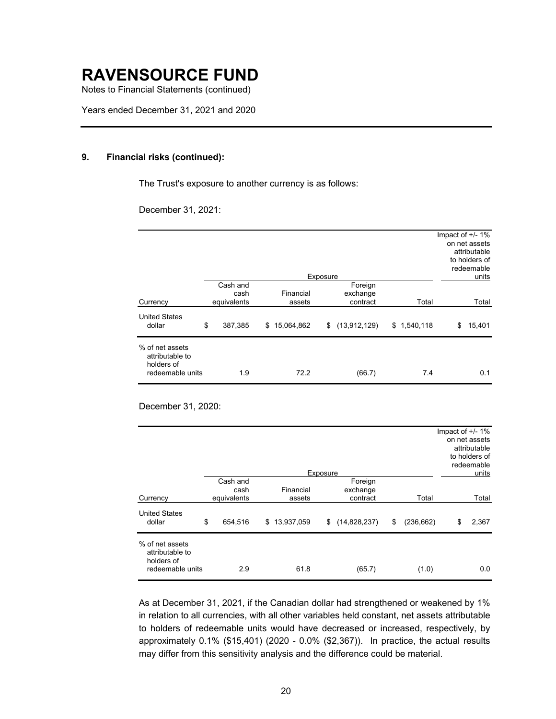Notes to Financial Statements (continued)

Years ended December 31, 2021 and 2020

#### **9. Financial risks (continued):**

The Trust's exposure to another currency is as follows:

December 31, 2021:

|                                                                      |                  |                  | Exposure |                     |             | Impact of $+/- 1\%$<br>on net assets<br>attributable<br>to holders of<br>redeemable<br>units |
|----------------------------------------------------------------------|------------------|------------------|----------|---------------------|-------------|----------------------------------------------------------------------------------------------|
|                                                                      | Cash and<br>cash | Financial        |          | Foreign<br>exchange |             |                                                                                              |
| Currency                                                             | equivalents      | assets           |          | contract            | Total       | Total                                                                                        |
| <b>United States</b><br>dollar                                       | \$<br>387,385    | 15,064,862<br>\$ |          | \$(13, 912, 129)    | \$1,540,118 | 15,401<br>\$                                                                                 |
| % of net assets<br>attributable to<br>holders of<br>redeemable units | 1.9              | 72.2             |          | (66.7)              | 7.4         | 0.1                                                                                          |

December 31, 2020:

|                                                                      |                                 |                     | Exposure |                                 |                  | Impact of $+/- 1\%$ | on net assets<br>attributable<br>to holders of<br>redeemable<br>units |
|----------------------------------------------------------------------|---------------------------------|---------------------|----------|---------------------------------|------------------|---------------------|-----------------------------------------------------------------------|
| Currency                                                             | Cash and<br>cash<br>equivalents | Financial<br>assets |          | Foreign<br>exchange<br>contract | Total            |                     | Total                                                                 |
| <b>United States</b><br>dollar                                       | \$<br>654,516                   | \$13,937,059        | \$       | (14,828,237)                    | \$<br>(236, 662) | \$                  | 2,367                                                                 |
| % of net assets<br>attributable to<br>holders of<br>redeemable units | 2.9                             | 61.8                |          | (65.7)                          | (1.0)            |                     | 0.0                                                                   |

As at December 31, 2021, if the Canadian dollar had strengthened or weakened by 1% in relation to all currencies, with all other variables held constant, net assets attributable to holders of redeemable units would have decreased or increased, respectively, by approximately 0.1% (\$15,401) (2020 - 0.0% (\$2,367)). In practice, the actual results may differ from this sensitivity analysis and the difference could be material.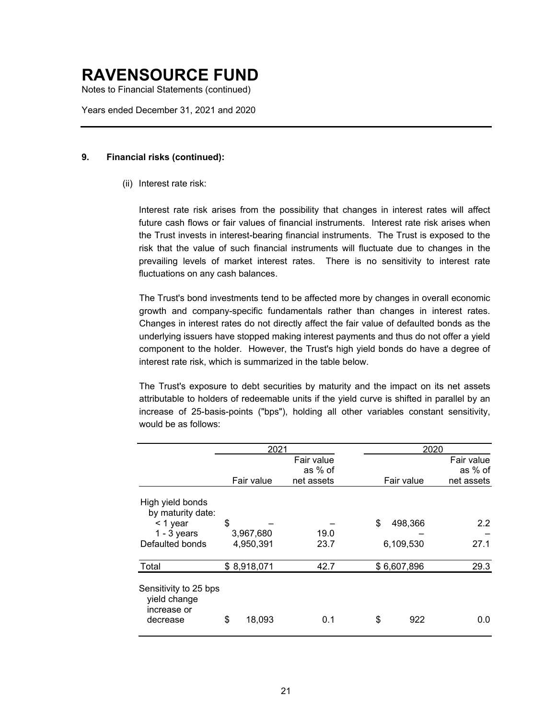Notes to Financial Statements (continued)

Years ended December 31, 2021 and 2020

#### **9. Financial risks (continued):**

#### (ii) Interest rate risk:

Interest rate risk arises from the possibility that changes in interest rates will affect future cash flows or fair values of financial instruments. Interest rate risk arises when the Trust invests in interest-bearing financial instruments. The Trust is exposed to the risk that the value of such financial instruments will fluctuate due to changes in the prevailing levels of market interest rates. There is no sensitivity to interest rate fluctuations on any cash balances.

The Trust's bond investments tend to be affected more by changes in overall economic growth and company-specific fundamentals rather than changes in interest rates. Changes in interest rates do not directly affect the fair value of defaulted bonds as the underlying issuers have stopped making interest payments and thus do not offer a yield component to the holder. However, the Trust's high yield bonds do have a degree of interest rate risk, which is summarized in the table below.

The Trust's exposure to debt securities by maturity and the impact on its net assets attributable to holders of redeemable units if the yield curve is shifted in parallel by an increase of 25-basis-points ("bps"), holding all other variables constant sensitivity, would be as follows:

|                                                      | 2021       |             |            |      |  |    | 2020        |            |
|------------------------------------------------------|------------|-------------|------------|------|--|----|-------------|------------|
|                                                      | Fair value |             |            |      |  |    |             | Fair value |
|                                                      |            |             | as % of    |      |  |    |             | as % of    |
|                                                      |            | Fair value  | net assets |      |  |    | Fair value  | net assets |
| High yield bonds<br>by maturity date:                |            |             |            |      |  |    |             |            |
| $<$ 1 year                                           | \$         |             |            |      |  | \$ | 498,366     | 2.2        |
| $1 - 3$ years                                        |            | 3,967,680   |            | 19.0 |  |    |             |            |
| Defaulted bonds                                      |            | 4,950,391   |            | 23.7 |  |    | 6,109,530   | 27.1       |
| Total                                                |            | \$8,918,071 |            | 42.7 |  |    | \$6,607,896 | 29.3       |
| Sensitivity to 25 bps<br>yield change<br>increase or |            |             |            |      |  |    |             |            |
| decrease                                             | \$         | 18,093      |            | 0.1  |  | \$ | 922         | 0.0        |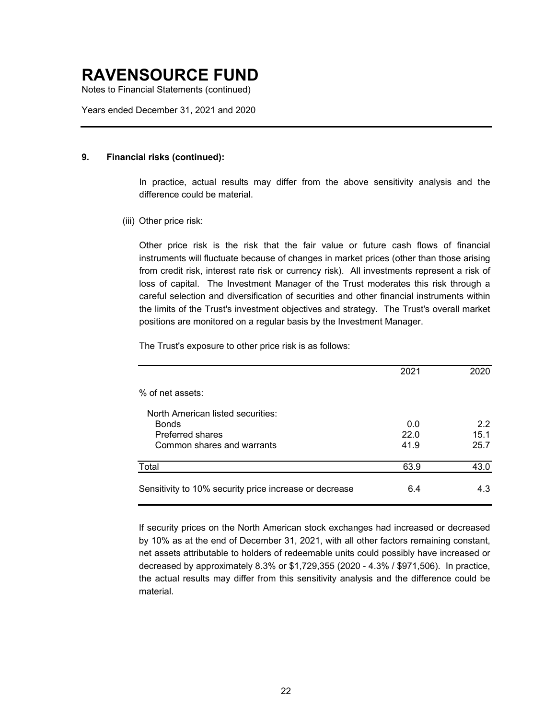Notes to Financial Statements (continued)

Years ended December 31, 2021 and 2020

#### **9. Financial risks (continued):**

In practice, actual results may differ from the above sensitivity analysis and the difference could be material.

(iii) Other price risk:

Other price risk is the risk that the fair value or future cash flows of financial instruments will fluctuate because of changes in market prices (other than those arising from credit risk, interest rate risk or currency risk). All investments represent a risk of loss of capital. The Investment Manager of the Trust moderates this risk through a careful selection and diversification of securities and other financial instruments within the limits of the Trust's investment objectives and strategy. The Trust's overall market positions are monitored on a regular basis by the Investment Manager.

The Trust's exposure to other price risk is as follows:

|                                                        | 2021 |      |
|--------------------------------------------------------|------|------|
| % of net assets:                                       |      |      |
| North American listed securities:                      |      |      |
| <b>Bonds</b>                                           | 0.0  | 2.2  |
| <b>Preferred shares</b>                                | 22.0 | 15.1 |
| Common shares and warrants                             | 41.9 | 25.7 |
| Total                                                  | 63.9 | 43.0 |
| Sensitivity to 10% security price increase or decrease | 6.4  | 4.3  |

If security prices on the North American stock exchanges had increased or decreased by 10% as at the end of December 31, 2021, with all other factors remaining constant, net assets attributable to holders of redeemable units could possibly have increased or decreased by approximately 8.3% or \$1,729,355 (2020 - 4.3% / \$971,506). In practice, the actual results may differ from this sensitivity analysis and the difference could be material.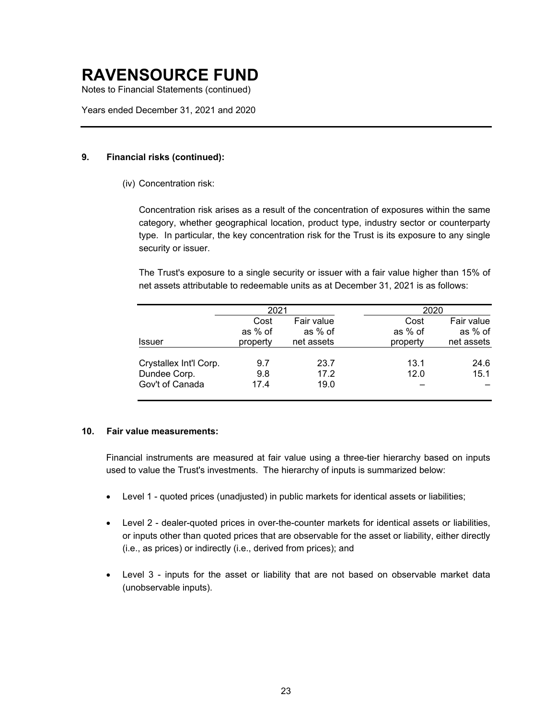Notes to Financial Statements (continued)

Years ended December 31, 2021 and 2020

#### **9. Financial risks (continued):**

(iv) Concentration risk:

Concentration risk arises as a result of the concentration of exposures within the same category, whether geographical location, product type, industry sector or counterparty type. In particular, the key concentration risk for the Trust is its exposure to any single security or issuer.

The Trust's exposure to a single security or issuer with a fair value higher than 15% of net assets attributable to redeemable units as at December 31, 2021 is as follows:

|                        | 2021     |            | 2020     |            |  |  |  |
|------------------------|----------|------------|----------|------------|--|--|--|
|                        | Cost     | Fair value | Cost     | Fair value |  |  |  |
|                        | as % of  | as % of    | as % of  | as % of    |  |  |  |
| Issuer                 | property | net assets | property | net assets |  |  |  |
| Crystallex Int'l Corp. | 9.7      | 23.7       | 13.1     | 24.6       |  |  |  |
| Dundee Corp.           | 9.8      | 17.2       | 12.0     | 15.1       |  |  |  |
| Gov't of Canada        | 17.4     | 19.0       |          |            |  |  |  |

#### **10. Fair value measurements:**

Financial instruments are measured at fair value using a three-tier hierarchy based on inputs used to value the Trust's investments. The hierarchy of inputs is summarized below:

- Level 1 quoted prices (unadjusted) in public markets for identical assets or liabilities;
- Level 2 dealer-quoted prices in over-the-counter markets for identical assets or liabilities, or inputs other than quoted prices that are observable for the asset or liability, either directly (i.e., as prices) or indirectly (i.e., derived from prices); and
- Level 3 inputs for the asset or liability that are not based on observable market data (unobservable inputs).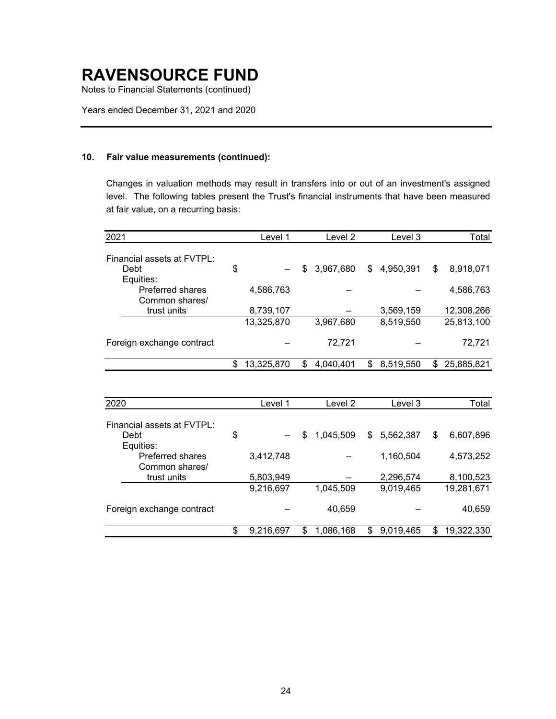Notes to Financial Statements (continued)

Years ended December 31, 2021 and 2020

#### **10. Fair value measurements (continued):**

Changes in valuation methods may result in transfers into or out of an investment's assigned level. The following tables present the Trust's financial instruments that have been measured at fair value, on a recurring basis:

| 2021                       | Level 1          | Level 2         | Level 3         | Total           |
|----------------------------|------------------|-----------------|-----------------|-----------------|
| Financial assets at FVTPL: |                  |                 |                 |                 |
| Debt                       | \$               | 3,967,680<br>\$ | 4,950,391<br>\$ | \$<br>8,918,071 |
| Equities:                  |                  |                 |                 |                 |
| <b>Preferred shares</b>    | 4,586,763        |                 |                 | 4,586,763       |
| Common shares/             |                  |                 |                 |                 |
| trust units                | 8,739,107        |                 | 3,569,159       | 12,308,266      |
|                            | 13,325,870       | 3,967,680       | 8,519,550       | 25,813,100      |
|                            |                  |                 |                 |                 |
| Foreign exchange contract  |                  | 72,721          |                 | 72,721          |
|                            |                  |                 |                 |                 |
|                            | \$<br>13,325,870 | \$<br>4,040,401 | 8,519,550<br>S  | 25,885,821<br>S |
|                            |                  |                 |                 |                 |
|                            |                  |                 |                 |                 |

| 2020                       | Level 1         |    | Level 2   |    | Level 3   | Total            |
|----------------------------|-----------------|----|-----------|----|-----------|------------------|
| Financial assets at FVTPL: |                 |    |           |    |           |                  |
| Debt                       | \$              | S  | 1,045,509 | S. | 5,562,387 | \$<br>6,607,896  |
| Equities:                  |                 |    |           |    |           |                  |
| <b>Preferred shares</b>    | 3,412,748       |    |           |    | 1,160,504 | 4,573,252        |
| Common shares/             |                 |    |           |    |           |                  |
| trust units                | 5,803,949       |    |           |    | 2,296,574 | 8,100,523        |
|                            | 9,216,697       |    | 1,045,509 |    | 9,019,465 | 19,281,671       |
|                            |                 |    |           |    |           |                  |
| Foreign exchange contract  |                 |    | 40,659    |    |           | 40,659           |
|                            | \$<br>9,216,697 | \$ | 1,086,168 | \$ | 9,019,465 | \$<br>19,322,330 |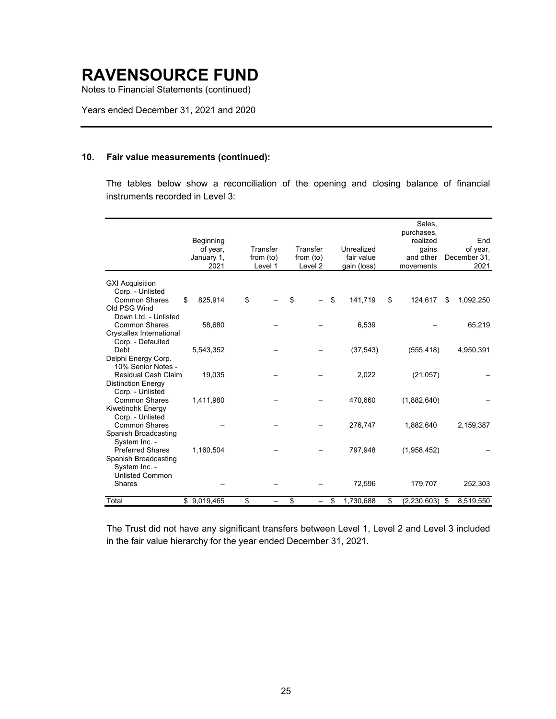Notes to Financial Statements (continued)

Years ended December 31, 2021 and 2020

#### **10. Fair value measurements (continued):**

The tables below show a reconciliation of the opening and closing balance of financial instruments recorded in Level 3:

|                           | Beginning     |             |             |                 | Sales.<br>purchases,<br>realized | End             |
|---------------------------|---------------|-------------|-------------|-----------------|----------------------------------|-----------------|
|                           | of year,      | Transfer    | Transfer    | Unrealized      | qains                            | of year,        |
|                           | January 1,    | from $(to)$ | from $(to)$ | fair value      | and other                        | December 31,    |
|                           | 2021          | Level 1     | Level 2     | gain (loss)     | movements                        | 2021            |
|                           |               |             |             |                 |                                  |                 |
| <b>GXI Acquisition</b>    |               |             |             |                 |                                  |                 |
| Corp. - Unlisted          |               |             |             |                 |                                  |                 |
| <b>Common Shares</b>      | \$<br>825,914 | \$          | \$          | \$<br>141,719   | \$<br>124,617                    | \$<br>1,092,250 |
| Old PSG Wind              |               |             |             |                 |                                  |                 |
| Down Ltd. - Unlisted      |               |             |             |                 |                                  |                 |
| <b>Common Shares</b>      | 58,680        |             |             | 6,539           |                                  | 65,219          |
| Crystallex International  |               |             |             |                 |                                  |                 |
| Corp. - Defaulted         |               |             |             |                 |                                  |                 |
| Debt                      | 5,543,352     |             |             | (37, 543)       | (555, 418)                       | 4,950,391       |
| Delphi Energy Corp.       |               |             |             |                 |                                  |                 |
| 10% Senior Notes -        |               |             |             |                 |                                  |                 |
| Residual Cash Claim       | 19,035        |             |             | 2,022           | (21, 057)                        |                 |
| <b>Distinction Energy</b> |               |             |             |                 |                                  |                 |
| Corp. - Unlisted          |               |             |             |                 |                                  |                 |
| <b>Common Shares</b>      | 1,411,980     |             |             | 470,660         | (1,882,640)                      |                 |
| Kiwetinohk Energy         |               |             |             |                 |                                  |                 |
| Corp. - Unlisted          |               |             |             |                 |                                  |                 |
| <b>Common Shares</b>      |               |             |             | 276,747         | 1,882,640                        | 2,159,387       |
| Spanish Broadcasting      |               |             |             |                 |                                  |                 |
| System Inc. -             |               |             |             |                 |                                  |                 |
| <b>Preferred Shares</b>   | 1,160,504     |             |             | 797,948         | (1,958,452)                      |                 |
| Spanish Broadcasting      |               |             |             |                 |                                  |                 |
| System Inc. -             |               |             |             |                 |                                  |                 |
| <b>Unlisted Common</b>    |               |             |             |                 |                                  |                 |
| <b>Shares</b>             |               |             |             | 72,596          | 179,707                          | 252,303         |
|                           |               |             |             |                 |                                  |                 |
| Total                     | \$9,019,465   | \$          | \$          | \$<br>1,730,688 | \$<br>(2, 230, 603)              | \$<br>8,519,550 |

The Trust did not have any significant transfers between Level 1, Level 2 and Level 3 included in the fair value hierarchy for the year ended December 31, 2021.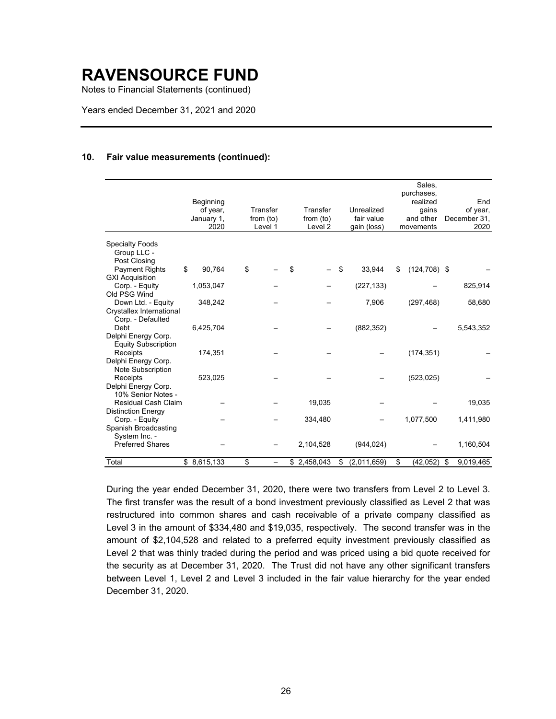Notes to Financial Statements (continued)

Years ended December 31, 2021 and 2020

#### **10. Fair value measurements (continued):**

|                                                                     | Beginning<br>of year,<br>January 1, |    | Transfer<br>from $(to)$ | Transfer<br>from (to) | Unrealized<br>fair value | Sales,<br>purchases,<br>realized<br>gains<br>and other | End<br>of year,<br>December 31, |
|---------------------------------------------------------------------|-------------------------------------|----|-------------------------|-----------------------|--------------------------|--------------------------------------------------------|---------------------------------|
|                                                                     | 2020                                |    | Level 1                 | Level <sub>2</sub>    | gain (loss)              | movements                                              | 2020                            |
| <b>Specialty Foods</b><br>Group LLC -<br>Post Closing               |                                     |    |                         |                       |                          |                                                        |                                 |
| <b>Payment Rights</b>                                               | \$<br>90,764                        | \$ |                         | \$                    | \$<br>33,944             | \$<br>$(124, 708)$ \$                                  |                                 |
| <b>GXI Acquisition</b><br>Corp. - Equity<br>Old PSG Wind            | 1,053,047                           |    |                         |                       | (227, 133)               |                                                        | 825,914                         |
| Down Ltd. - Equity<br>Crystallex International<br>Corp. - Defaulted | 348,242                             |    |                         |                       | 7,906                    | (297, 468)                                             | 58,680                          |
| Debt<br>Delphi Energy Corp.<br><b>Equity Subscription</b>           | 6,425,704                           |    |                         |                       | (882, 352)               |                                                        | 5,543,352                       |
| Receipts<br>Delphi Energy Corp.<br>Note Subscription                | 174,351                             |    |                         |                       |                          | (174, 351)                                             |                                 |
| Receipts<br>Delphi Energy Corp.<br>10% Senior Notes -               | 523,025                             |    |                         |                       |                          | (523, 025)                                             |                                 |
| <b>Residual Cash Claim</b>                                          |                                     |    |                         | 19,035                |                          |                                                        | 19,035                          |
| <b>Distinction Energy</b><br>Corp. - Equity                         |                                     |    |                         | 334,480               |                          | 1,077,500                                              | 1,411,980                       |
| Spanish Broadcasting<br>System Inc. -                               |                                     |    |                         |                       |                          |                                                        |                                 |
| <b>Preferred Shares</b>                                             |                                     |    |                         | 2,104,528             | (944, 024)               |                                                        | 1,160,504                       |
| Total                                                               | \$8,615,133                         | \$ |                         | \$2,458,043           | \$<br>(2,011,659)        | \$<br>(42, 052)                                        | \$<br>9,019,465                 |

During the year ended December 31, 2020, there were two transfers from Level 2 to Level 3. The first transfer was the result of a bond investment previously classified as Level 2 that was restructured into common shares and cash receivable of a private company classified as Level 3 in the amount of \$334,480 and \$19,035, respectively. The second transfer was in the amount of \$2,104,528 and related to a preferred equity investment previously classified as Level 2 that was thinly traded during the period and was priced using a bid quote received for the security as at December 31, 2020. The Trust did not have any other significant transfers between Level 1, Level 2 and Level 3 included in the fair value hierarchy for the year ended December 31, 2020.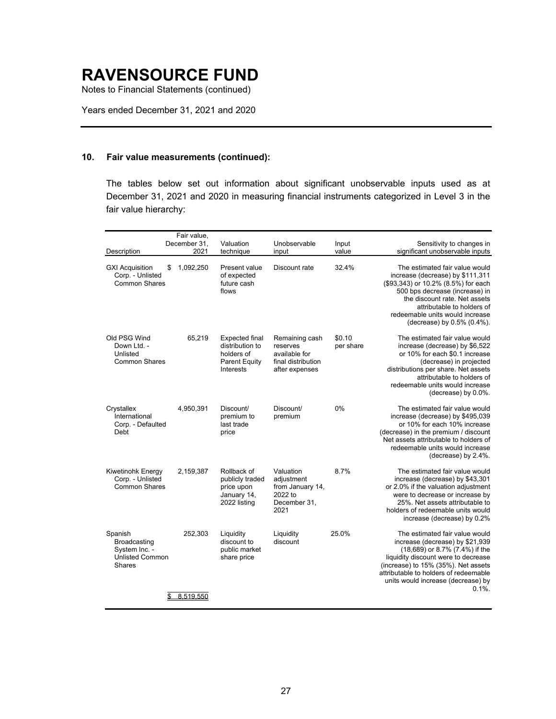Notes to Financial Statements (continued)

Years ended December 31, 2021 and 2020

#### **10. Fair value measurements (continued):**

The tables below set out information about significant unobservable inputs used as at December 31, 2021 and 2020 in measuring financial instruments categorized in Level 3 in the fair value hierarchy:

|                                                                              | Fair value,<br>December 31, | Valuation                                                                                          | Unobservable                                                                        | Input               | Sensitivity to changes in                                                                                                                                                                                                                                                     |
|------------------------------------------------------------------------------|-----------------------------|----------------------------------------------------------------------------------------------------|-------------------------------------------------------------------------------------|---------------------|-------------------------------------------------------------------------------------------------------------------------------------------------------------------------------------------------------------------------------------------------------------------------------|
| Description                                                                  | 2021                        | technique                                                                                          | input                                                                               | value               | significant unobservable inputs                                                                                                                                                                                                                                               |
| <b>GXI Acquisition</b><br>\$<br>Corp. - Unlisted<br><b>Common Shares</b>     | 1,092,250                   | Present value<br>of expected<br>future cash<br>flows                                               | Discount rate                                                                       | 32.4%               | The estimated fair value would<br>increase (decrease) by \$111,311<br>(\$93,343) or 10.2% (8.5%) for each<br>500 bps decrease (increase) in<br>the discount rate. Net assets<br>attributable to holders of<br>redeemable units would increase<br>(decrease) by 0.5% (0.4%).   |
| Old PSG Wind<br>Down Ltd. -<br>Unlisted<br><b>Common Shares</b>              | 65,219                      | <b>Expected final</b><br>distribution to<br>holders of<br><b>Parent Equity</b><br><b>Interests</b> | Remaining cash<br>reserves<br>available for<br>final distribution<br>after expenses | \$0.10<br>per share | The estimated fair value would<br>increase (decrease) by \$6,522<br>or 10% for each \$0.1 increase<br>(decrease) in projected<br>distributions per share. Net assets<br>attributable to holders of<br>redeemable units would increase<br>(decrease) by 0.0%.                  |
| Crystallex<br>International<br>Corp. - Defaulted<br>Debt                     | 4,950,391                   | Discount/<br>premium to<br>last trade<br>price                                                     | Discount/<br>premium                                                                | 0%                  | The estimated fair value would<br>increase (decrease) by \$495,039<br>or 10% for each 10% increase<br>(decrease) in the premium / discount<br>Net assets attributable to holders of<br>redeemable units would increase<br>(decrease) by 2.4%.                                 |
| Kiwetinohk Energy<br>Corp. - Unlisted<br><b>Common Shares</b>                | 2,159,387                   | Rollback of<br>publicly traded<br>price upon<br>January 14,<br>2022 listing                        | Valuation<br>adjustment<br>from January 14,<br>2022 to<br>December 31,<br>2021      | 8.7%                | The estimated fair value would<br>increase (decrease) by \$43,301<br>or 2.0% if the valuation adjustment<br>were to decrease or increase by<br>25%. Net assets attributable to<br>holders of redeemable units would<br>increase (decrease) by 0.2%                            |
| Spanish<br>Broadcasting<br>System Inc. -<br><b>Unlisted Common</b><br>Shares | 252,303                     | Liquidity<br>discount to<br>public market<br>share price                                           | Liquidity<br>discount                                                               | 25.0%               | The estimated fair value would<br>increase (decrease) by \$21,939<br>(18,689) or 8.7% (7.4%) if the<br>liquidity discount were to decrease<br>(increase) to 15% (35%). Net assets<br>attributable to holders of redeemable<br>units would increase (decrease) by<br>$0.1\%$ . |
|                                                                              | 8,519,550                   |                                                                                                    |                                                                                     |                     |                                                                                                                                                                                                                                                                               |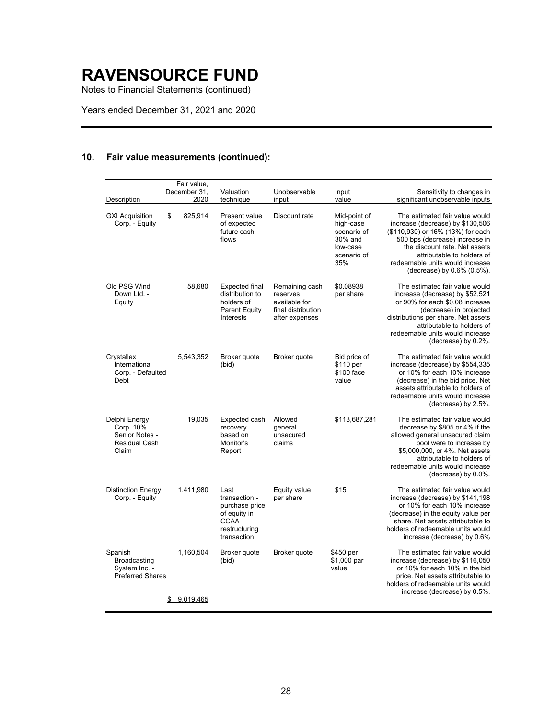Notes to Financial Statements (continued)

Years ended December 31, 2021 and 2020

### **10. Fair value measurements (continued):**

| Description                                                            | Fair value,<br>December 31,<br>2020 | Valuation<br>technique                                                                                 | Unobservable<br>input                                                               | Input<br>value                                                                        | Sensitivity to changes in<br>significant unobservable inputs                                                                                                                                                                                                              |
|------------------------------------------------------------------------|-------------------------------------|--------------------------------------------------------------------------------------------------------|-------------------------------------------------------------------------------------|---------------------------------------------------------------------------------------|---------------------------------------------------------------------------------------------------------------------------------------------------------------------------------------------------------------------------------------------------------------------------|
| <b>GXI Acquisition</b><br>Corp. - Equity                               | 825,914<br>\$                       | Present value<br>of expected<br>future cash<br>flows                                                   | Discount rate                                                                       | Mid-point of<br>high-case<br>scenario of<br>30% and<br>low-case<br>scenario of<br>35% | The estimated fair value would<br>increase (decrease) by \$130,506<br>(\$110,930) or 16% (13%) for each<br>500 bps (decrease) increase in<br>the discount rate. Net assets<br>attributable to holders of<br>redeemable units would increase<br>(decrease) by 0.6% (0.5%). |
| Old PSG Wind<br>Down Ltd. -<br>Equity                                  | 58,680                              | <b>Expected final</b><br>distribution to<br>holders of<br><b>Parent Equity</b><br><b>Interests</b>     | Remaining cash<br>reserves<br>available for<br>final distribution<br>after expenses | \$0.08938<br>per share                                                                | The estimated fair value would<br>increase (decrease) by \$52,521<br>or 90% for each \$0.08 increase<br>(decrease) in projected<br>distributions per share. Net assets<br>attributable to holders of<br>redeemable units would increase<br>(decrease) by 0.2%.            |
| Crystallex<br>International<br>Corp. - Defaulted<br>Debt               | 5,543,352                           | Broker quote<br>(bid)                                                                                  | Broker quote                                                                        | Bid price of<br>\$110 per<br>\$100 face<br>value                                      | The estimated fair value would<br>increase (decrease) by \$554,335<br>or 10% for each 10% increase<br>(decrease) in the bid price. Net<br>assets attributable to holders of<br>redeemable units would increase<br>(decrease) by 2.5%.                                     |
| Delphi Energy<br>Corp. 10%<br>Senior Notes -<br>Residual Cash<br>Claim | 19,035                              | Expected cash<br>recovery<br>based on<br>Monitor's<br>Report                                           | Allowed<br>deneral<br>unsecured<br>claims                                           | \$113,687,281                                                                         | The estimated fair value would<br>decrease by \$805 or 4% if the<br>allowed general unsecured claim<br>pool were to increase by<br>\$5,000,000, or 4%. Net assets<br>attributable to holders of<br>redeemable units would increase<br>(decrease) by 0.0%.                 |
| <b>Distinction Energy</b><br>Corp. - Equity                            | 1,411,980                           | Last<br>transaction -<br>purchase price<br>of equity in<br><b>CCAA</b><br>restructuring<br>transaction | Equity value<br>per share                                                           | \$15                                                                                  | The estimated fair value would<br>increase (decrease) by \$141,198<br>or 10% for each 10% increase<br>(decrease) in the equity value per<br>share. Net assets attributable to<br>holders of redeemable units would<br>increase (decrease) by 0.6%                         |
| Spanish<br>Broadcasting<br>System Inc. -<br><b>Preferred Shares</b>    | 1,160,504<br>9,019,465              | Broker quote<br>(bid)                                                                                  | Broker quote                                                                        | \$450 per<br>\$1,000 par<br>value                                                     | The estimated fair value would<br>increase (decrease) by \$116,050<br>or 10% for each 10% in the bid<br>price. Net assets attributable to<br>holders of redeemable units would<br>increase (decrease) by 0.5%.                                                            |